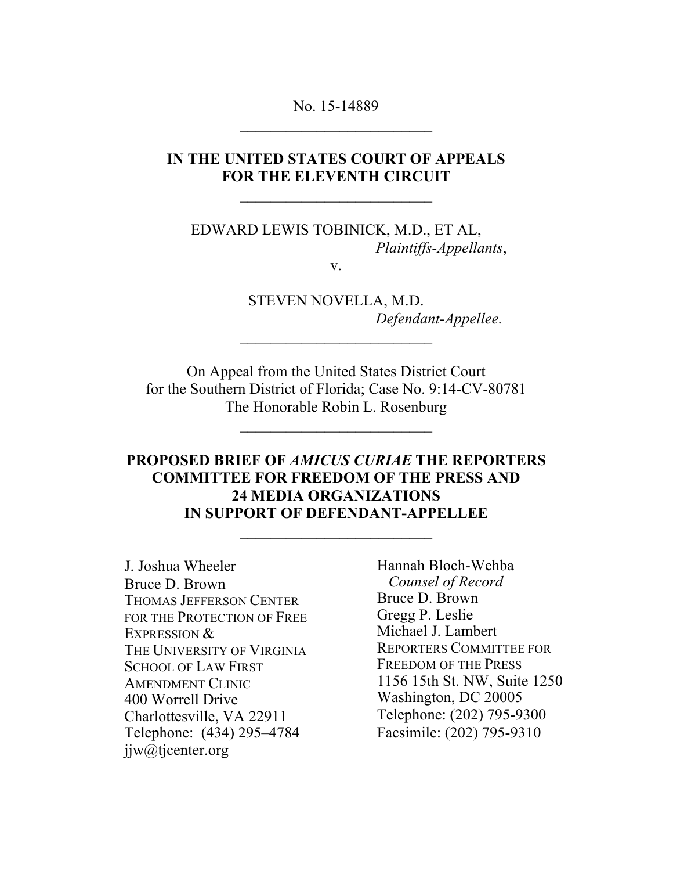No. 15-14889  $\mathcal{L}_\text{max}$  , where  $\mathcal{L}_\text{max}$  , we have the set of  $\mathcal{L}_\text{max}$ 

#### **IN THE UNITED STATES COURT OF APPEALS FOR THE ELEVENTH CIRCUIT**

EDWARD LEWIS TOBINICK, M.D., ET AL, *Plaintiffs-Appellants*,

v.

STEVEN NOVELLA, M.D. *Defendant-Appellee.*

On Appeal from the United States District Court for the Southern District of Florida; Case No. 9:14-CV-80781 The Honorable Robin L. Rosenburg

### **PROPOSED BRIEF OF** *AMICUS CURIAE* **THE REPORTERS COMMITTEE FOR FREEDOM OF THE PRESS AND 24 MEDIA ORGANIZATIONS IN SUPPORT OF DEFENDANT-APPELLEE**

J. Joshua Wheeler Bruce D. Brown THOMAS JEFFERSON CENTER FOR THE PROTECTION OF FREE EXPRESSION & THE UNIVERSITY OF VIRGINIA SCHOOL OF LAW FIRST AMENDMENT CLINIC 400 Worrell Drive Charlottesville, VA 22911 Telephone: (434) 295–4784 jjw@tjcenter.org

Hannah Bloch-Wehba  *Counsel of Record* Bruce D. Brown Gregg P. Leslie Michael J. Lambert REPORTERS COMMITTEE FOR FREEDOM OF THE PRESS 1156 15th St. NW, Suite 1250 Washington, DC 20005 Telephone: (202) 795-9300 Facsimile: (202) 795-9310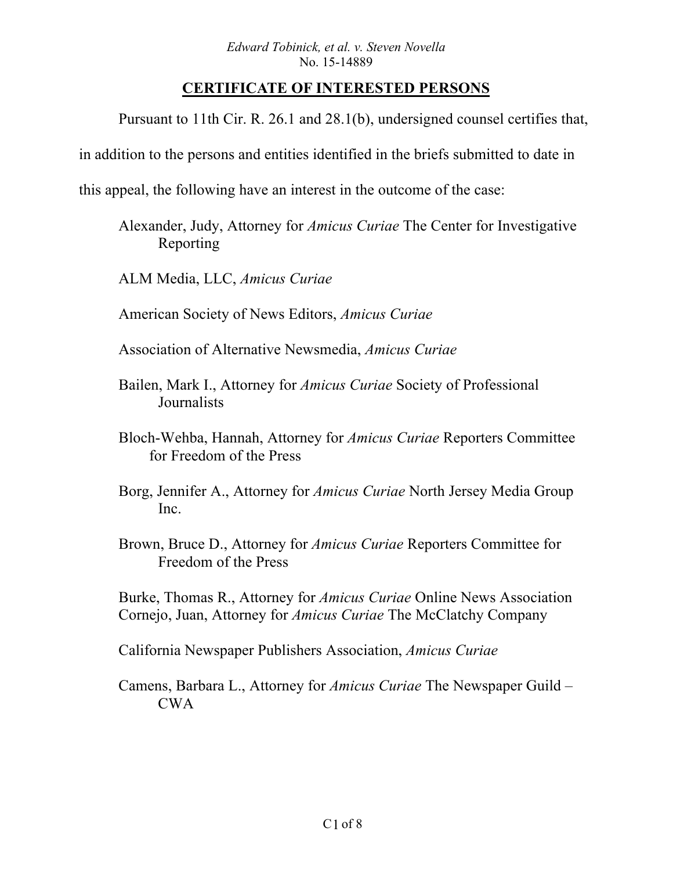## **CERTIFICATE OF INTERESTED PERSONS**

Pursuant to 11th Cir. R. 26.1 and 28.1(b), undersigned counsel certifies that,

in addition to the persons and entities identified in the briefs submitted to date in

this appeal, the following have an interest in the outcome of the case:

Alexander, Judy, Attorney for *Amicus Curiae* The Center for Investigative Reporting

ALM Media, LLC, *Amicus Curiae*

American Society of News Editors, *Amicus Curiae*

- Association of Alternative Newsmedia, *Amicus Curiae*
- Bailen, Mark I., Attorney for *Amicus Curiae* Society of Professional **Journalists**
- Bloch-Wehba, Hannah, Attorney for *Amicus Curiae* Reporters Committee for Freedom of the Press
- Borg, Jennifer A., Attorney for *Amicus Curiae* North Jersey Media Group Inc.
- Brown, Bruce D., Attorney for *Amicus Curiae* Reporters Committee for Freedom of the Press

Burke, Thomas R., Attorney for *Amicus Curiae* Online News Association Cornejo, Juan, Attorney for *Amicus Curiae* The McClatchy Company

California Newspaper Publishers Association, *Amicus Curiae*

Camens, Barbara L., Attorney for *Amicus Curiae* The Newspaper Guild – CWA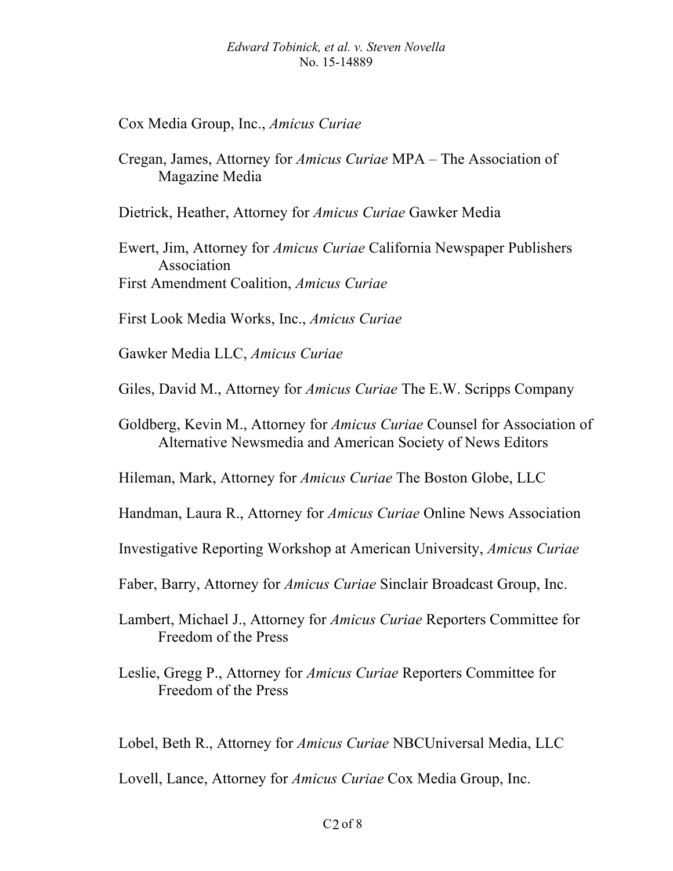Cox Media Group, Inc., *Amicus Curiae*

Cregan, James, Attorney for *Amicus Curiae* MPA – The Association of Magazine Media

Dietrick, Heather, Attorney for *Amicus Curiae* Gawker Media

Ewert, Jim, Attorney for *Amicus Curiae* California Newspaper Publishers Association First Amendment Coalition, *Amicus Curiae*

First Look Media Works, Inc., *Amicus Curiae*

Gawker Media LLC, *Amicus Curiae*

Giles, David M., Attorney for *Amicus Curiae* The E.W. Scripps Company

Goldberg, Kevin M., Attorney for *Amicus Curiae* Counsel for Association of Alternative Newsmedia and American Society of News Editors

Hileman, Mark, Attorney for *Amicus Curiae* The Boston Globe, LLC

Handman, Laura R., Attorney for *Amicus Curiae* Online News Association

Investigative Reporting Workshop at American University, *Amicus Curiae*

Faber, Barry, Attorney for *Amicus Curiae* Sinclair Broadcast Group, Inc.

Lambert, Michael J., Attorney for *Amicus Curiae* Reporters Committee for Freedom of the Press

Leslie, Gregg P., Attorney for *Amicus Curiae* Reporters Committee for Freedom of the Press

Lobel, Beth R., Attorney for *Amicus Curiae* NBCUniversal Media, LLC

Lovell, Lance, Attorney for *Amicus Curiae* Cox Media Group, Inc.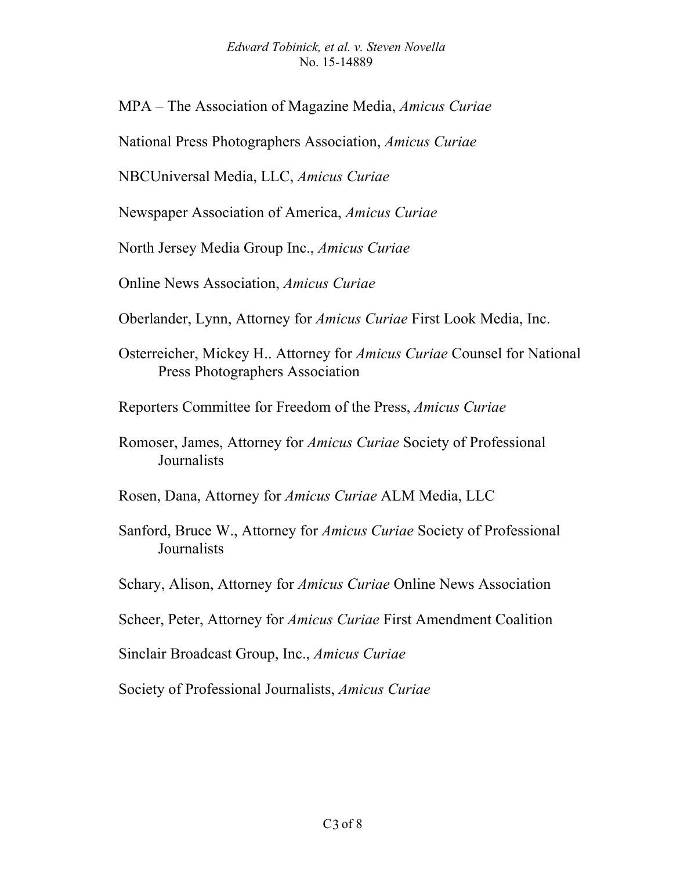#### *Edward Tobinick, et al. v. Steven Novella*  No. 15-14889

MPA – The Association of Magazine Media, *Amicus Curiae*

National Press Photographers Association, *Amicus Curiae*

NBCUniversal Media, LLC, *Amicus Curiae*

Newspaper Association of America, *Amicus Curiae*

North Jersey Media Group Inc., *Amicus Curiae*

Online News Association, *Amicus Curiae*

Oberlander, Lynn, Attorney for *Amicus Curiae* First Look Media, Inc.

Osterreicher, Mickey H.. Attorney for *Amicus Curiae* Counsel for National Press Photographers Association

Reporters Committee for Freedom of the Press, *Amicus Curiae*

Rosen, Dana, Attorney for *Amicus Curiae* ALM Media, LLC

- Sanford, Bruce W., Attorney for *Amicus Curiae* Society of Professional **Journalists**
- Schary, Alison, Attorney for *Amicus Curiae* Online News Association
- Scheer, Peter, Attorney for *Amicus Curiae* First Amendment Coalition

Sinclair Broadcast Group, Inc., *Amicus Curiae*

Society of Professional Journalists, *Amicus Curiae*

Romoser, James, Attorney for *Amicus Curiae* Society of Professional **Journalists**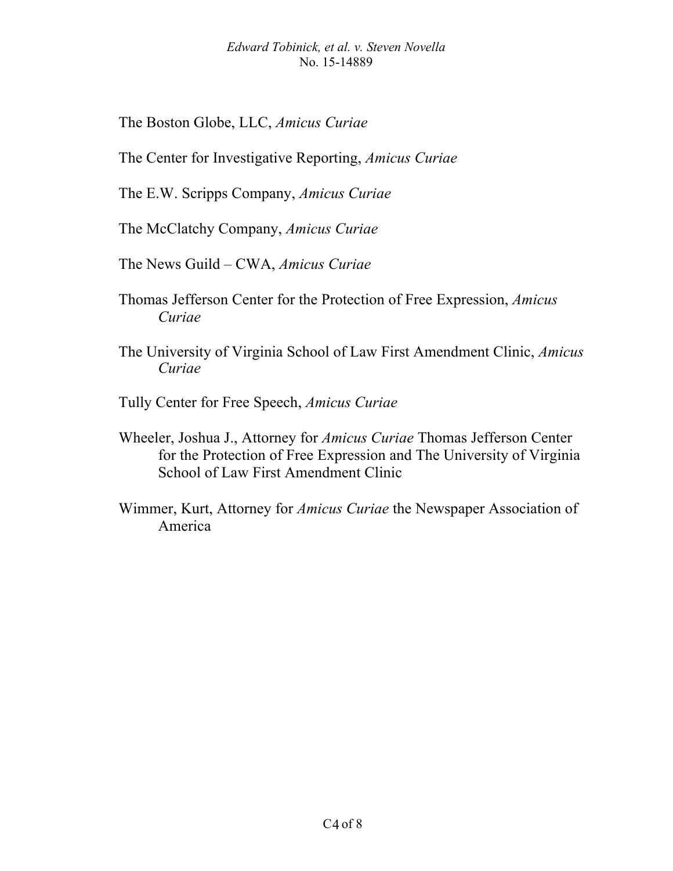#### *Edward Tobinick, et al. v. Steven Novella*  No. 15-14889

The Boston Globe, LLC, *Amicus Curiae*

The Center for Investigative Reporting, *Amicus Curiae*

The E.W. Scripps Company, *Amicus Curiae*

The McClatchy Company, *Amicus Curiae*

The News Guild – CWA, *Amicus Curiae*

- Thomas Jefferson Center for the Protection of Free Expression, *Amicus Curiae*
- The University of Virginia School of Law First Amendment Clinic, *Amicus Curiae*
- Tully Center for Free Speech, *Amicus Curiae*
- Wheeler, Joshua J., Attorney for *Amicus Curiae* Thomas Jefferson Center for the Protection of Free Expression and The University of Virginia School of Law First Amendment Clinic
- Wimmer, Kurt, Attorney for *Amicus Curiae* the Newspaper Association of America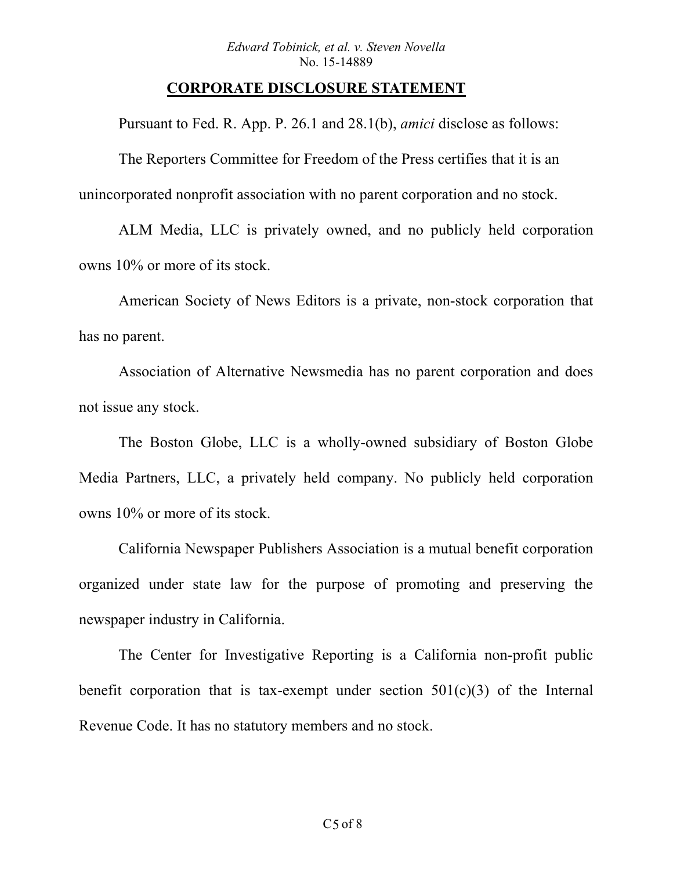#### **CORPORATE DISCLOSURE STATEMENT**

Pursuant to Fed. R. App. P. 26.1 and 28.1(b), *amici* disclose as follows:

The Reporters Committee for Freedom of the Press certifies that it is an unincorporated nonprofit association with no parent corporation and no stock.

ALM Media, LLC is privately owned, and no publicly held corporation owns 10% or more of its stock.

American Society of News Editors is a private, non-stock corporation that has no parent.

Association of Alternative Newsmedia has no parent corporation and does not issue any stock.

The Boston Globe, LLC is a wholly-owned subsidiary of Boston Globe Media Partners, LLC, a privately held company. No publicly held corporation owns 10% or more of its stock.

California Newspaper Publishers Association is a mutual benefit corporation organized under state law for the purpose of promoting and preserving the newspaper industry in California.

The Center for Investigative Reporting is a California non-profit public benefit corporation that is tax-exempt under section  $501(c)(3)$  of the Internal Revenue Code. It has no statutory members and no stock.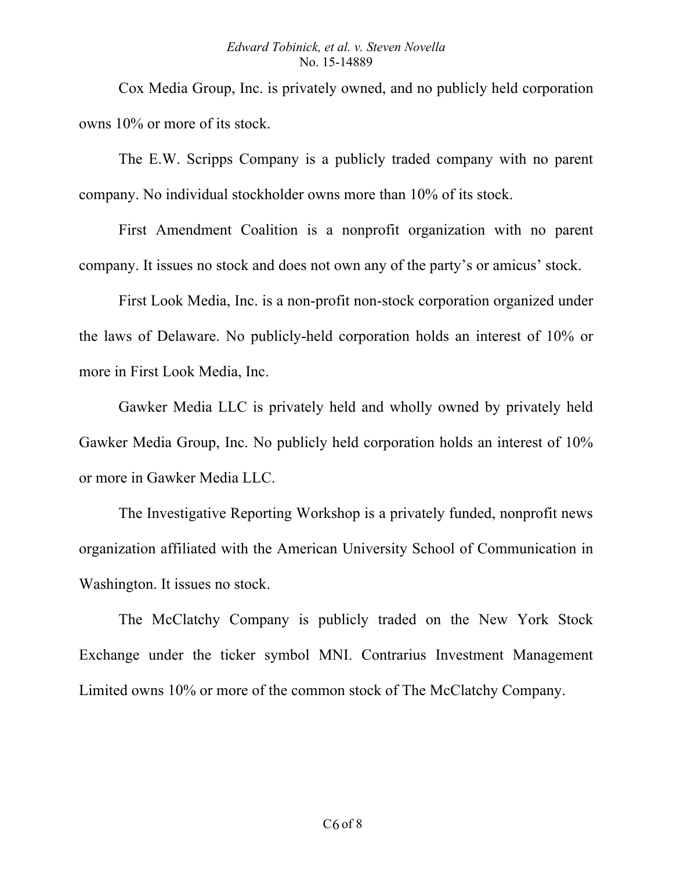#### *Edward Tobinick, et al. v. Steven Novella*  No. 15-14889

Cox Media Group, Inc. is privately owned, and no publicly held corporation owns 10% or more of its stock.

The E.W. Scripps Company is a publicly traded company with no parent company. No individual stockholder owns more than 10% of its stock.

First Amendment Coalition is a nonprofit organization with no parent company. It issues no stock and does not own any of the party's or amicus' stock.

First Look Media, Inc. is a non-profit non-stock corporation organized under the laws of Delaware. No publicly-held corporation holds an interest of 10% or more in First Look Media, Inc.

Gawker Media LLC is privately held and wholly owned by privately held Gawker Media Group, Inc. No publicly held corporation holds an interest of 10% or more in Gawker Media LLC.

The Investigative Reporting Workshop is a privately funded, nonprofit news organization affiliated with the American University School of Communication in Washington. It issues no stock.

The McClatchy Company is publicly traded on the New York Stock Exchange under the ticker symbol MNI. Contrarius Investment Management Limited owns 10% or more of the common stock of The McClatchy Company.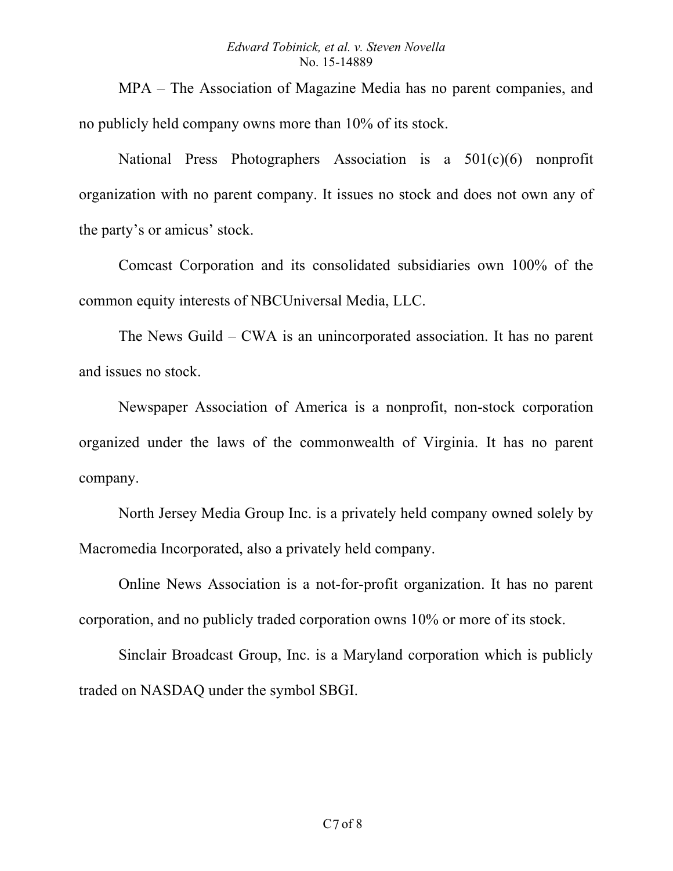MPA – The Association of Magazine Media has no parent companies, and no publicly held company owns more than 10% of its stock.

National Press Photographers Association is a 501(c)(6) nonprofit organization with no parent company. It issues no stock and does not own any of the party's or amicus' stock.

Comcast Corporation and its consolidated subsidiaries own 100% of the common equity interests of NBCUniversal Media, LLC.

The News Guild – CWA is an unincorporated association. It has no parent and issues no stock.

Newspaper Association of America is a nonprofit, non-stock corporation organized under the laws of the commonwealth of Virginia. It has no parent company.

North Jersey Media Group Inc. is a privately held company owned solely by Macromedia Incorporated, also a privately held company.

Online News Association is a not-for-profit organization. It has no parent corporation, and no publicly traded corporation owns 10% or more of its stock.

Sinclair Broadcast Group, Inc. is a Maryland corporation which is publicly traded on NASDAQ under the symbol SBGI.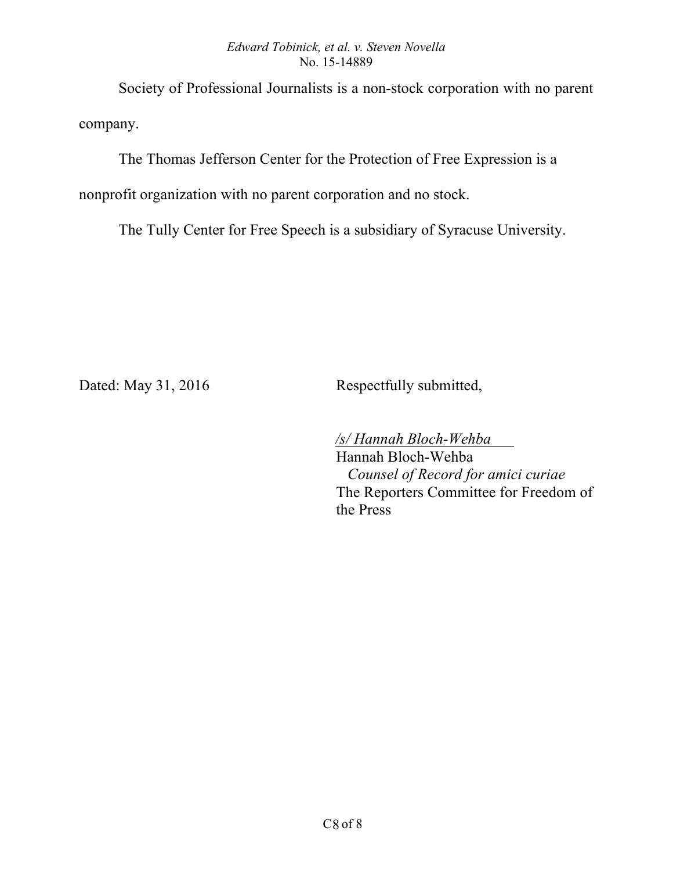#### *Edward Tobinick, et al. v. Steven Novella*  No. 15-14889

Society of Professional Journalists is a non-stock corporation with no parent company.

The Thomas Jefferson Center for the Protection of Free Expression is a

nonprofit organization with no parent corporation and no stock.

The Tully Center for Free Speech is a subsidiary of Syracuse University.

Dated: May 31, 2016 Respectfully submitted,

 */s/ Hannah Bloch-Wehba* Hannah Bloch-Wehba  *Counsel of Record for amici curiae*  The Reporters Committee for Freedom of the Press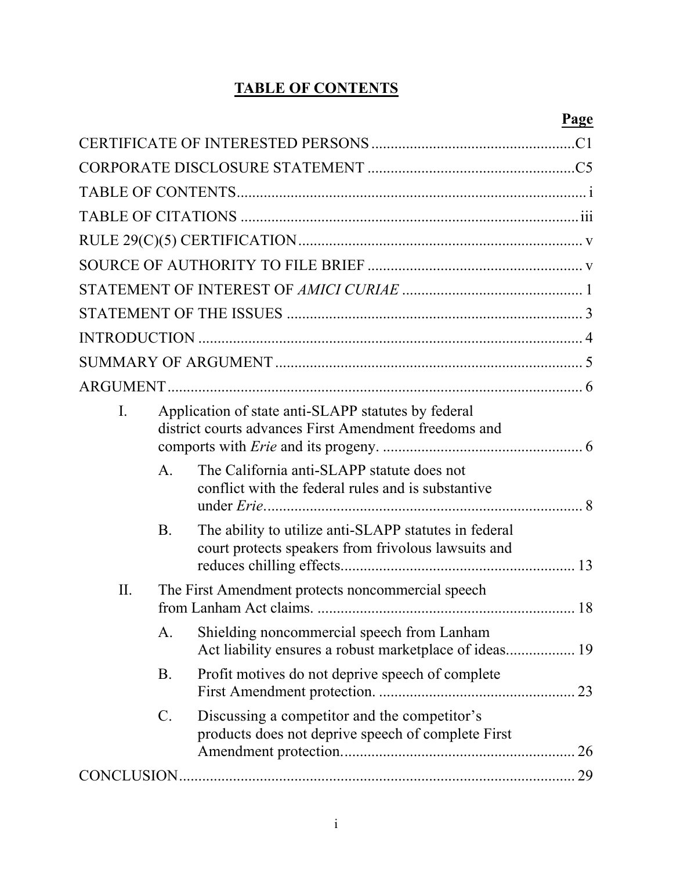## **TABLE OF CONTENTS**

|--|

| I. |                 | Application of state anti-SLAPP statutes by federal<br>district courts advances First Amendment freedoms and |    |
|----|-----------------|--------------------------------------------------------------------------------------------------------------|----|
|    | $\mathsf{A}$ .  | The California anti-SLAPP statute does not<br>conflict with the federal rules and is substantive             |    |
|    | <b>B</b> .      | The ability to utilize anti-SLAPP statutes in federal<br>court protects speakers from frivolous lawsuits and |    |
| Π. |                 | The First Amendment protects noncommercial speech                                                            |    |
|    | A.              | Shielding noncommercial speech from Lanham<br>Act liability ensures a robust marketplace of ideas 19         |    |
|    | B.              | Profit motives do not deprive speech of complete                                                             |    |
|    | $\mathcal{C}$ . | Discussing a competitor and the competitor's<br>products does not deprive speech of complete First           | 26 |
|    |                 |                                                                                                              |    |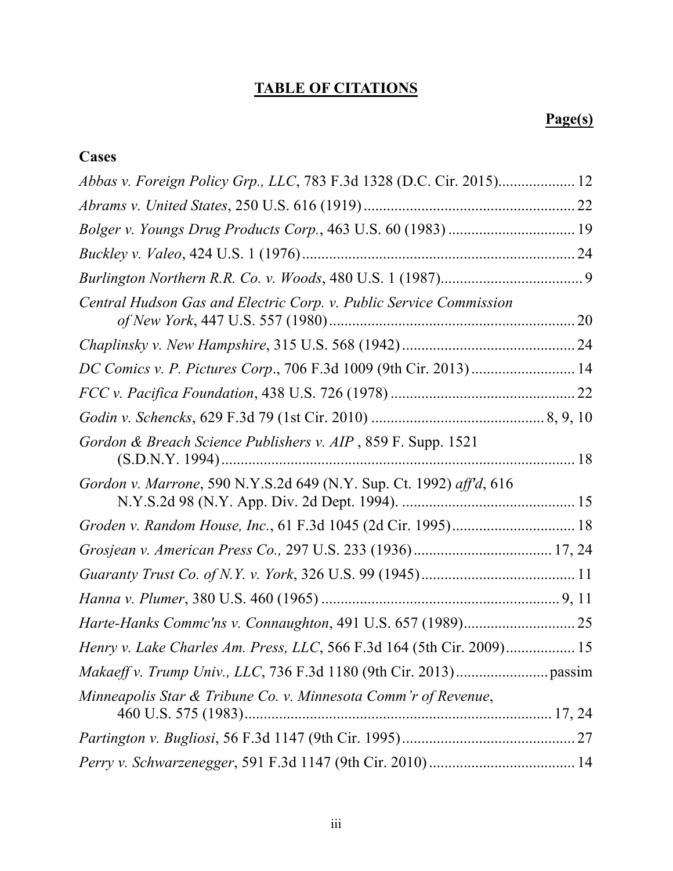# **TABLE OF CITATIONS**

## **Page(s)**

| Cases                                                                 |  |
|-----------------------------------------------------------------------|--|
| Abbas v. Foreign Policy Grp., LLC, 783 F.3d 1328 (D.C. Cir. 2015) 12  |  |
|                                                                       |  |
|                                                                       |  |
|                                                                       |  |
|                                                                       |  |
| Central Hudson Gas and Electric Corp. v. Public Service Commission    |  |
|                                                                       |  |
| DC Comics v. P. Pictures Corp., 706 F.3d 1009 (9th Cir. 2013) 14      |  |
|                                                                       |  |
|                                                                       |  |
| Gordon & Breach Science Publishers v. AIP, 859 F. Supp. 1521          |  |
| Gordon v. Marrone, 590 N.Y.S.2d 649 (N.Y. Sup. Ct. 1992) aff'd, 616   |  |
|                                                                       |  |
|                                                                       |  |
|                                                                       |  |
|                                                                       |  |
|                                                                       |  |
| Henry v. Lake Charles Am. Press, LLC, 566 F.3d 164 (5th Cir. 2009) 15 |  |
|                                                                       |  |
| Minneapolis Star & Tribune Co. v. Minnesota Comm'r of Revenue,        |  |
|                                                                       |  |
|                                                                       |  |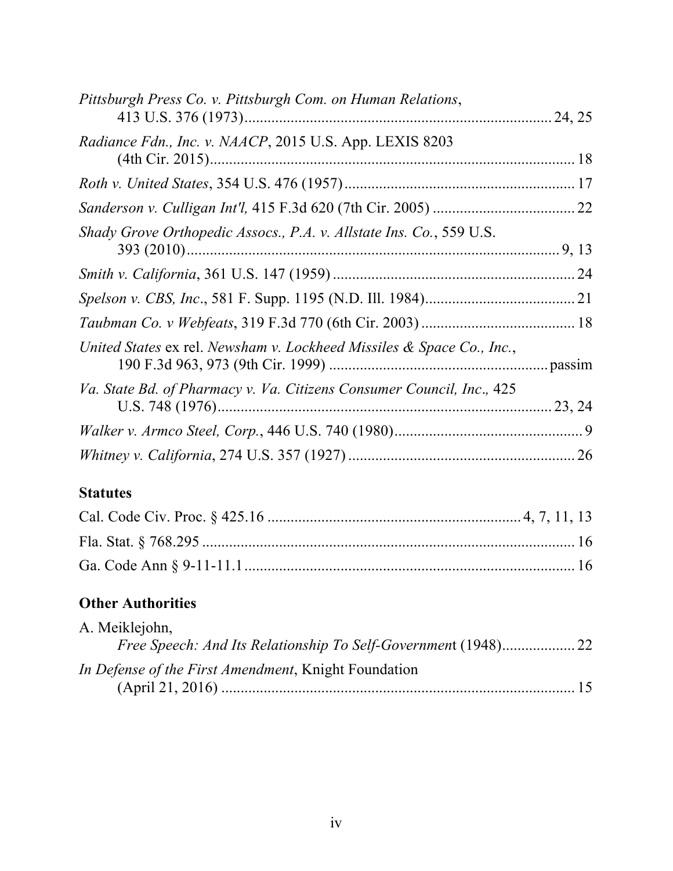| Pittsburgh Press Co. v. Pittsburgh Com. on Human Relations,           |  |
|-----------------------------------------------------------------------|--|
| Radiance Fdn., Inc. v. NAACP, 2015 U.S. App. LEXIS 8203               |  |
|                                                                       |  |
|                                                                       |  |
| Shady Grove Orthopedic Assocs., P.A. v. Allstate Ins. Co., 559 U.S.   |  |
|                                                                       |  |
|                                                                       |  |
|                                                                       |  |
| United States ex rel. Newsham v. Lockheed Missiles & Space Co., Inc., |  |
| Va. State Bd. of Pharmacy v. Va. Citizens Consumer Council, Inc., 425 |  |
|                                                                       |  |
|                                                                       |  |
| $\Gamma$ <i>taturkaa</i>                                              |  |

#### **Statutes**

## **Other Authorities**

| A. Meiklejohn,                                       |                |
|------------------------------------------------------|----------------|
|                                                      |                |
| In Defense of the First Amendment, Knight Foundation |                |
|                                                      | $\frac{15}{2}$ |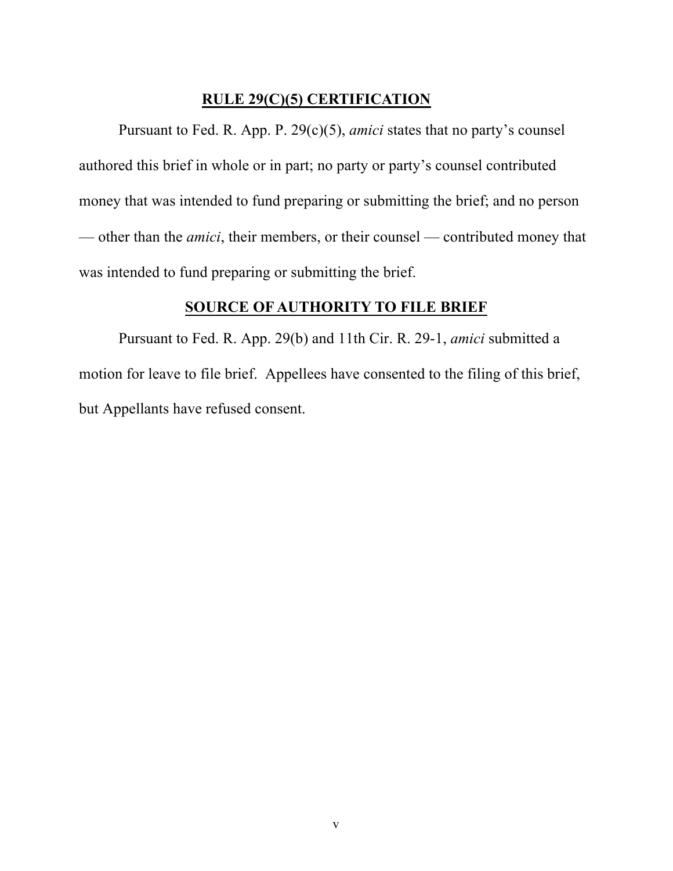#### **RULE 29(C)(5) CERTIFICATION**

Pursuant to Fed. R. App. P. 29(c)(5), *amici* states that no party's counsel authored this brief in whole or in part; no party or party's counsel contributed money that was intended to fund preparing or submitting the brief; and no person — other than the *amici*, their members, or their counsel — contributed money that was intended to fund preparing or submitting the brief.

## **SOURCE OF AUTHORITY TO FILE BRIEF**

Pursuant to Fed. R. App. 29(b) and 11th Cir. R. 29-1, *amici* submitted a motion for leave to file brief. Appellees have consented to the filing of this brief, but Appellants have refused consent.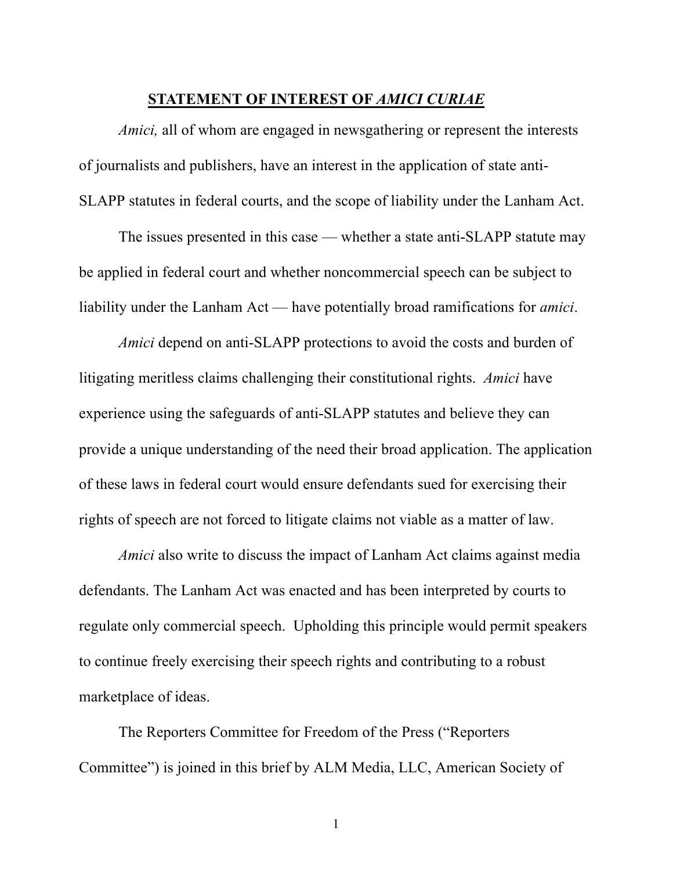#### **STATEMENT OF INTEREST OF** *AMICI CURIAE*

*Amici*, all of whom are engaged in newsgathering or represent the interests of journalists and publishers, have an interest in the application of state anti-SLAPP statutes in federal courts, and the scope of liability under the Lanham Act.

The issues presented in this case — whether a state anti-SLAPP statute may be applied in federal court and whether noncommercial speech can be subject to liability under the Lanham Act — have potentially broad ramifications for *amici*.

*Amici* depend on anti-SLAPP protections to avoid the costs and burden of litigating meritless claims challenging their constitutional rights. *Amici* have experience using the safeguards of anti-SLAPP statutes and believe they can provide a unique understanding of the need their broad application. The application of these laws in federal court would ensure defendants sued for exercising their rights of speech are not forced to litigate claims not viable as a matter of law.

*Amici* also write to discuss the impact of Lanham Act claims against media defendants. The Lanham Act was enacted and has been interpreted by courts to regulate only commercial speech. Upholding this principle would permit speakers to continue freely exercising their speech rights and contributing to a robust marketplace of ideas.

The Reporters Committee for Freedom of the Press ("Reporters Committee") is joined in this brief by ALM Media, LLC, American Society of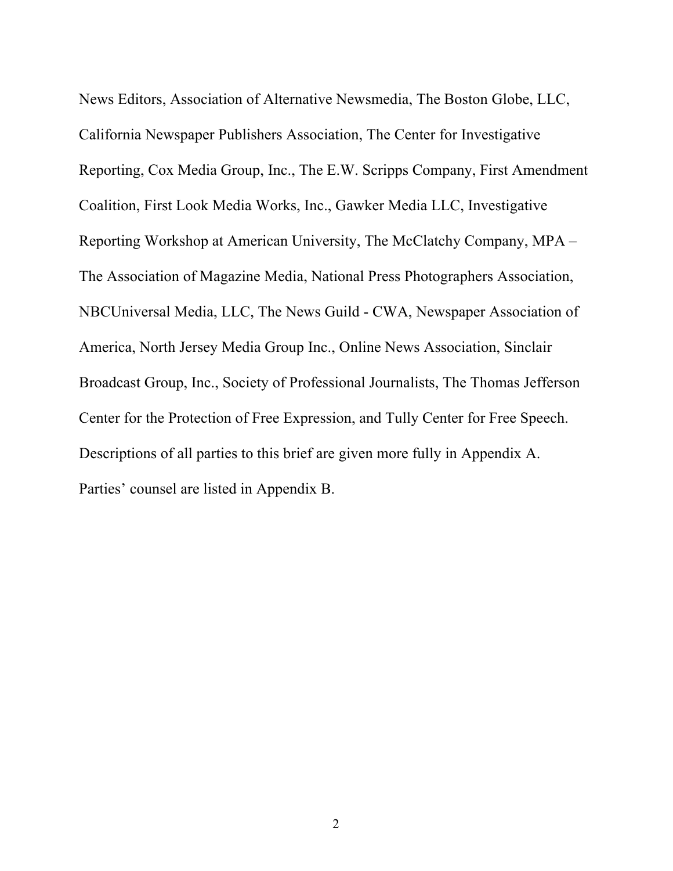News Editors, Association of Alternative Newsmedia, The Boston Globe, LLC, California Newspaper Publishers Association, The Center for Investigative Reporting, Cox Media Group, Inc., The E.W. Scripps Company, First Amendment Coalition, First Look Media Works, Inc., Gawker Media LLC, Investigative Reporting Workshop at American University, The McClatchy Company, MPA – The Association of Magazine Media, National Press Photographers Association, NBCUniversal Media, LLC, The News Guild - CWA, Newspaper Association of America, North Jersey Media Group Inc., Online News Association, Sinclair Broadcast Group, Inc., Society of Professional Journalists, The Thomas Jefferson Center for the Protection of Free Expression, and Tully Center for Free Speech. Descriptions of all parties to this brief are given more fully in Appendix A. Parties' counsel are listed in Appendix B.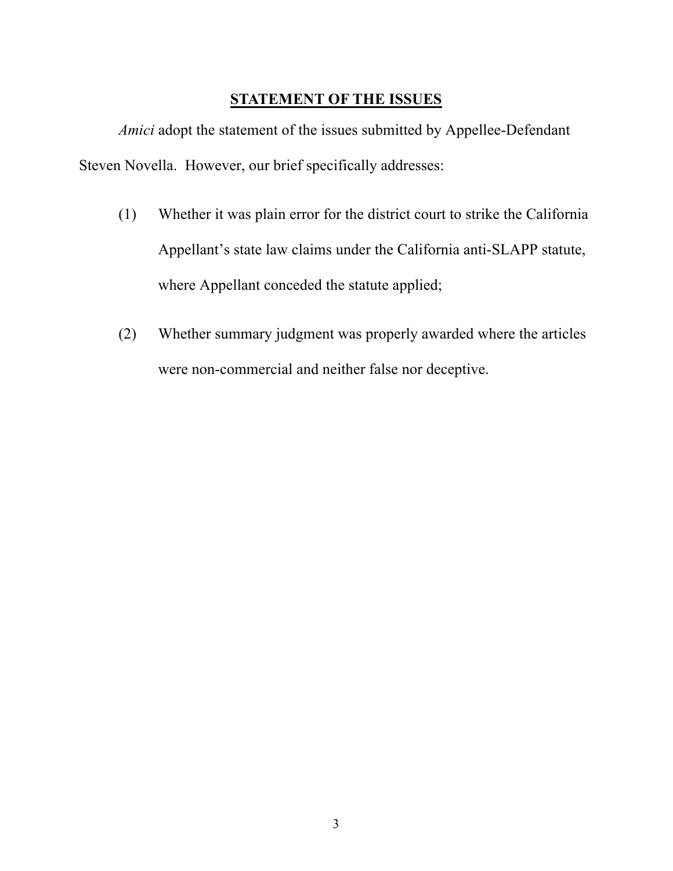### **STATEMENT OF THE ISSUES**

*Amici* adopt the statement of the issues submitted by Appellee-Defendant Steven Novella. However, our brief specifically addresses:

- (1) Whether it was plain error for the district court to strike the California Appellant's state law claims under the California anti-SLAPP statute, where Appellant conceded the statute applied;
- (2) Whether summary judgment was properly awarded where the articles were non-commercial and neither false nor deceptive.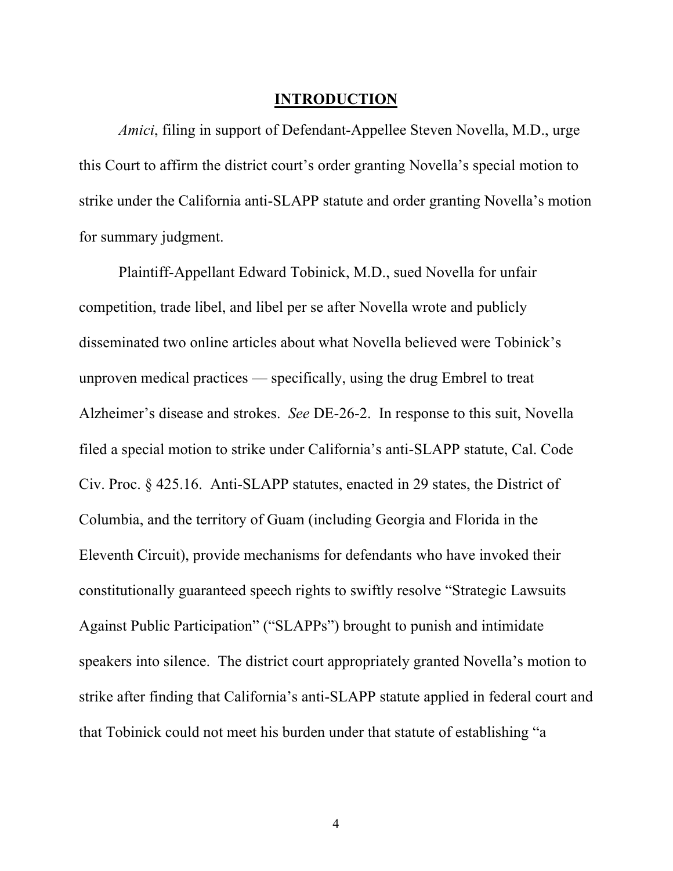#### **INTRODUCTION**

*Amici*, filing in support of Defendant-Appellee Steven Novella, M.D., urge this Court to affirm the district court's order granting Novella's special motion to strike under the California anti-SLAPP statute and order granting Novella's motion for summary judgment.

Plaintiff-Appellant Edward Tobinick, M.D., sued Novella for unfair competition, trade libel, and libel per se after Novella wrote and publicly disseminated two online articles about what Novella believed were Tobinick's unproven medical practices — specifically, using the drug Embrel to treat Alzheimer's disease and strokes. *See* DE-26-2. In response to this suit, Novella filed a special motion to strike under California's anti-SLAPP statute, Cal. Code Civ. Proc. § 425.16. Anti-SLAPP statutes, enacted in 29 states, the District of Columbia, and the territory of Guam (including Georgia and Florida in the Eleventh Circuit), provide mechanisms for defendants who have invoked their constitutionally guaranteed speech rights to swiftly resolve "Strategic Lawsuits Against Public Participation" ("SLAPPs") brought to punish and intimidate speakers into silence. The district court appropriately granted Novella's motion to strike after finding that California's anti-SLAPP statute applied in federal court and that Tobinick could not meet his burden under that statute of establishing "a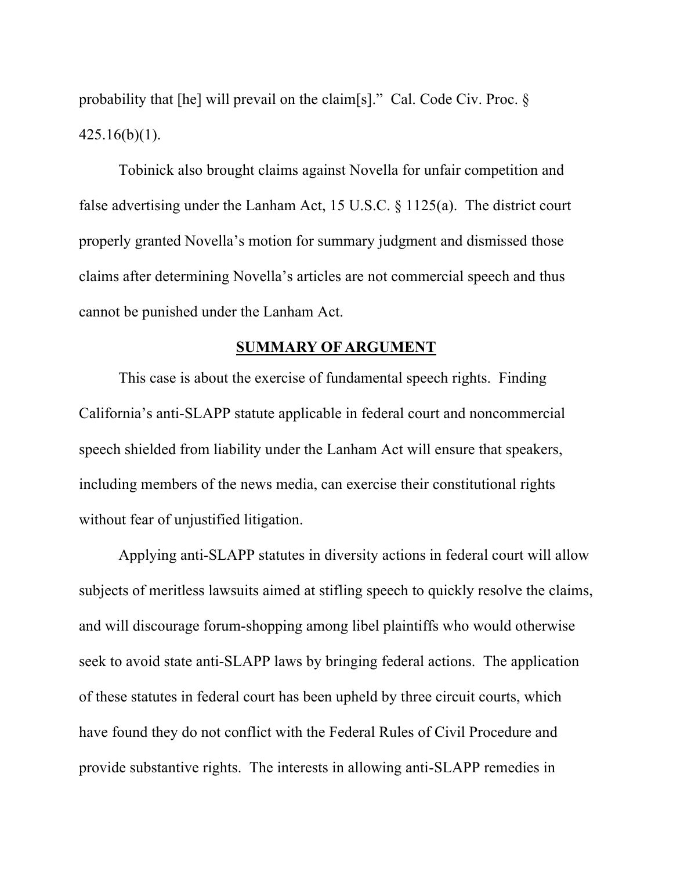probability that [he] will prevail on the claim[s]." Cal. Code Civ. Proc. §  $425.16(b)(1)$ .

Tobinick also brought claims against Novella for unfair competition and false advertising under the Lanham Act, 15 U.S.C. § 1125(a). The district court properly granted Novella's motion for summary judgment and dismissed those claims after determining Novella's articles are not commercial speech and thus cannot be punished under the Lanham Act.

#### **SUMMARY OF ARGUMENT**

This case is about the exercise of fundamental speech rights. Finding California's anti-SLAPP statute applicable in federal court and noncommercial speech shielded from liability under the Lanham Act will ensure that speakers, including members of the news media, can exercise their constitutional rights without fear of unjustified litigation.

Applying anti-SLAPP statutes in diversity actions in federal court will allow subjects of meritless lawsuits aimed at stifling speech to quickly resolve the claims, and will discourage forum-shopping among libel plaintiffs who would otherwise seek to avoid state anti-SLAPP laws by bringing federal actions. The application of these statutes in federal court has been upheld by three circuit courts, which have found they do not conflict with the Federal Rules of Civil Procedure and provide substantive rights. The interests in allowing anti-SLAPP remedies in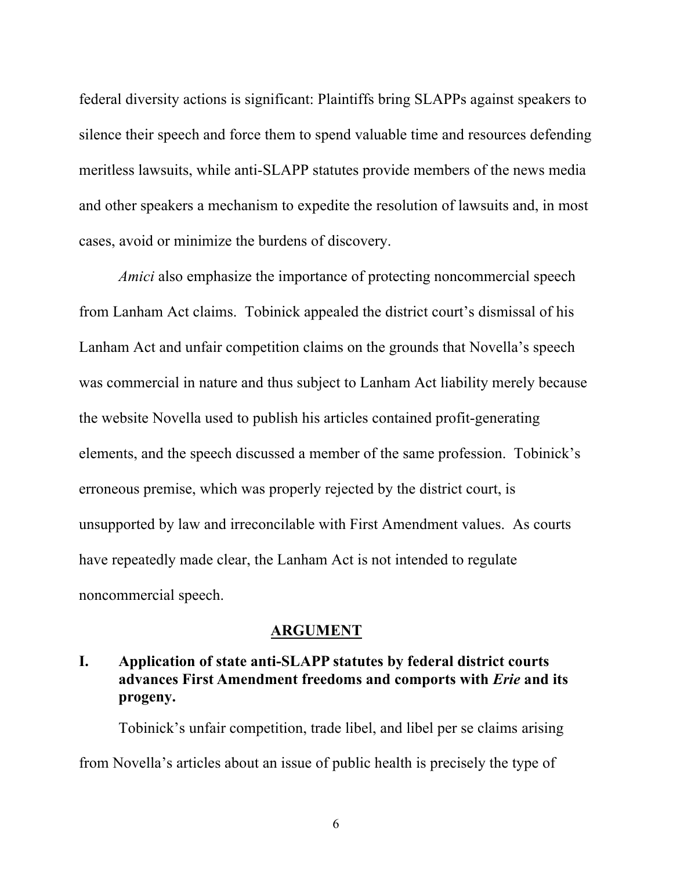federal diversity actions is significant: Plaintiffs bring SLAPPs against speakers to silence their speech and force them to spend valuable time and resources defending meritless lawsuits, while anti-SLAPP statutes provide members of the news media and other speakers a mechanism to expedite the resolution of lawsuits and, in most cases, avoid or minimize the burdens of discovery.

*Amici* also emphasize the importance of protecting noncommercial speech from Lanham Act claims. Tobinick appealed the district court's dismissal of his Lanham Act and unfair competition claims on the grounds that Novella's speech was commercial in nature and thus subject to Lanham Act liability merely because the website Novella used to publish his articles contained profit-generating elements, and the speech discussed a member of the same profession. Tobinick's erroneous premise, which was properly rejected by the district court, is unsupported by law and irreconcilable with First Amendment values. As courts have repeatedly made clear, the Lanham Act is not intended to regulate noncommercial speech.

#### **ARGUMENT**

## **I. Application of state anti-SLAPP statutes by federal district courts advances First Amendment freedoms and comports with** *Erie* **and its progeny.**

Tobinick's unfair competition, trade libel, and libel per se claims arising from Novella's articles about an issue of public health is precisely the type of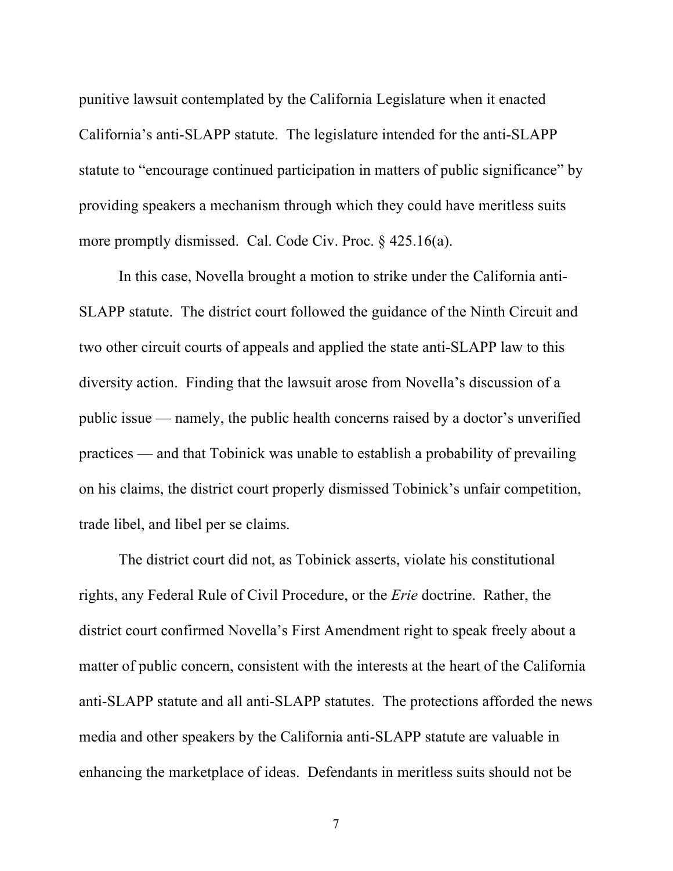punitive lawsuit contemplated by the California Legislature when it enacted California's anti-SLAPP statute. The legislature intended for the anti-SLAPP statute to "encourage continued participation in matters of public significance" by providing speakers a mechanism through which they could have meritless suits more promptly dismissed. Cal. Code Civ. Proc. § 425.16(a).

In this case, Novella brought a motion to strike under the California anti-SLAPP statute. The district court followed the guidance of the Ninth Circuit and two other circuit courts of appeals and applied the state anti-SLAPP law to this diversity action. Finding that the lawsuit arose from Novella's discussion of a public issue — namely, the public health concerns raised by a doctor's unverified practices — and that Tobinick was unable to establish a probability of prevailing on his claims, the district court properly dismissed Tobinick's unfair competition, trade libel, and libel per se claims.

The district court did not, as Tobinick asserts, violate his constitutional rights, any Federal Rule of Civil Procedure, or the *Erie* doctrine. Rather, the district court confirmed Novella's First Amendment right to speak freely about a matter of public concern, consistent with the interests at the heart of the California anti-SLAPP statute and all anti-SLAPP statutes. The protections afforded the news media and other speakers by the California anti-SLAPP statute are valuable in enhancing the marketplace of ideas. Defendants in meritless suits should not be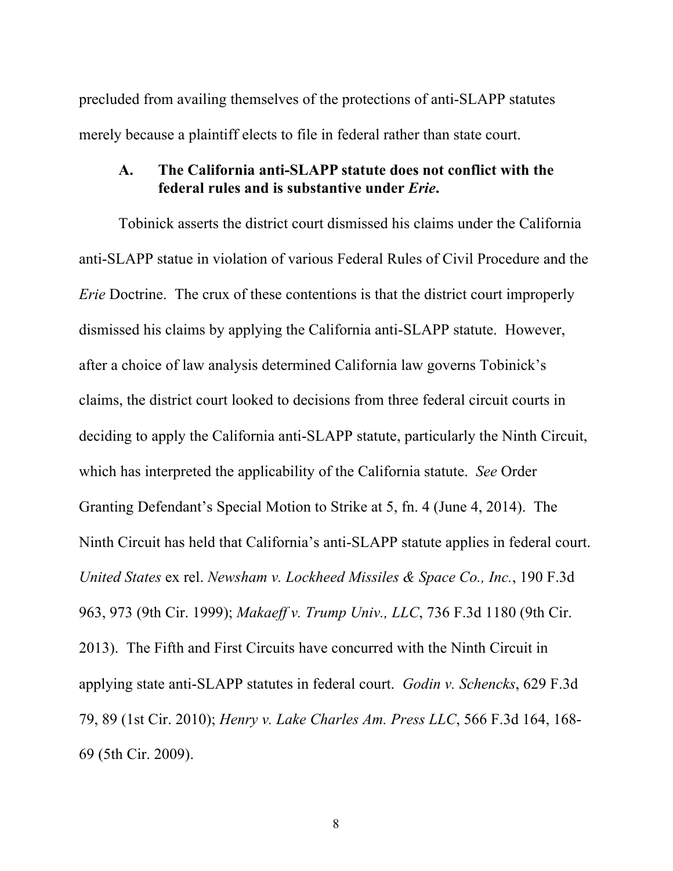precluded from availing themselves of the protections of anti-SLAPP statutes merely because a plaintiff elects to file in federal rather than state court.

#### **A. The California anti-SLAPP statute does not conflict with the federal rules and is substantive under** *Erie***.**

Tobinick asserts the district court dismissed his claims under the California anti-SLAPP statue in violation of various Federal Rules of Civil Procedure and the *Erie* Doctrine. The crux of these contentions is that the district court improperly dismissed his claims by applying the California anti-SLAPP statute. However, after a choice of law analysis determined California law governs Tobinick's claims, the district court looked to decisions from three federal circuit courts in deciding to apply the California anti-SLAPP statute, particularly the Ninth Circuit, which has interpreted the applicability of the California statute. *See* Order Granting Defendant's Special Motion to Strike at 5, fn. 4 (June 4, 2014). The Ninth Circuit has held that California's anti-SLAPP statute applies in federal court. *United States* ex rel. *Newsham v. Lockheed Missiles & Space Co., Inc.*, 190 F.3d 963, 973 (9th Cir. 1999); *Makaeff v. Trump Univ., LLC*, 736 F.3d 1180 (9th Cir. 2013). The Fifth and First Circuits have concurred with the Ninth Circuit in applying state anti-SLAPP statutes in federal court. *Godin v. Schencks*, 629 F.3d 79, 89 (1st Cir. 2010); *Henry v. Lake Charles Am. Press LLC*, 566 F.3d 164, 168- 69 (5th Cir. 2009).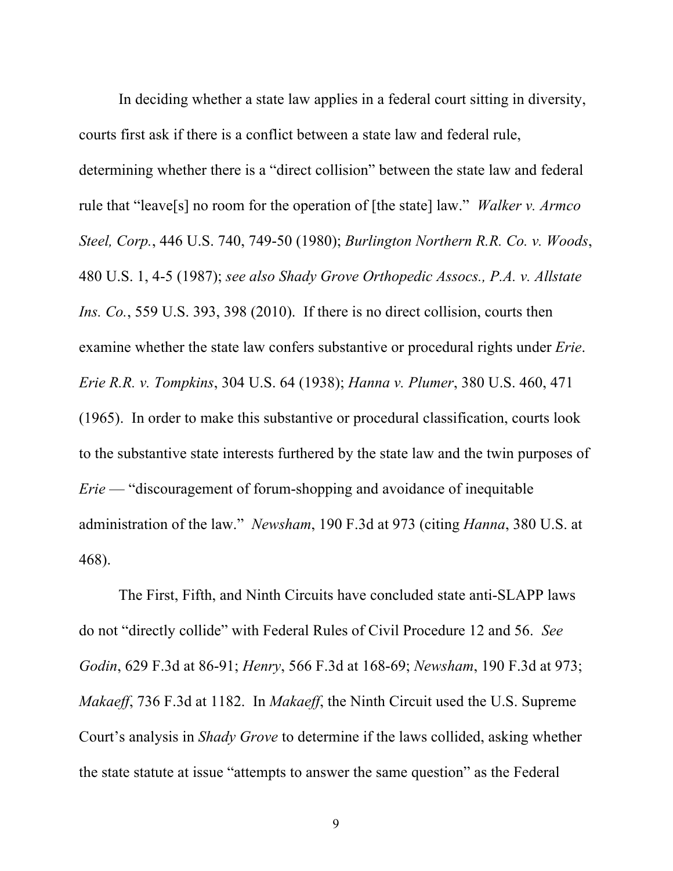In deciding whether a state law applies in a federal court sitting in diversity, courts first ask if there is a conflict between a state law and federal rule, determining whether there is a "direct collision" between the state law and federal rule that "leave[s] no room for the operation of [the state] law." *Walker v. Armco Steel, Corp.*, 446 U.S. 740, 749-50 (1980); *Burlington Northern R.R. Co. v. Woods*, 480 U.S. 1, 4-5 (1987); *see also Shady Grove Orthopedic Assocs., P.A. v. Allstate Ins. Co.*, 559 U.S. 393, 398 (2010). If there is no direct collision, courts then examine whether the state law confers substantive or procedural rights under *Erie*. *Erie R.R. v. Tompkins*, 304 U.S. 64 (1938); *Hanna v. Plumer*, 380 U.S. 460, 471 (1965). In order to make this substantive or procedural classification, courts look to the substantive state interests furthered by the state law and the twin purposes of *Erie* — "discouragement of forum-shopping and avoidance of inequitable administration of the law." *Newsham*, 190 F.3d at 973 (citing *Hanna*, 380 U.S. at 468).

The First, Fifth, and Ninth Circuits have concluded state anti-SLAPP laws do not "directly collide" with Federal Rules of Civil Procedure 12 and 56. *See Godin*, 629 F.3d at 86-91; *Henry*, 566 F.3d at 168-69; *Newsham*, 190 F.3d at 973; *Makaeff*, 736 F.3d at 1182. In *Makaeff*, the Ninth Circuit used the U.S. Supreme Court's analysis in *Shady Grove* to determine if the laws collided, asking whether the state statute at issue "attempts to answer the same question" as the Federal

<sup>9</sup>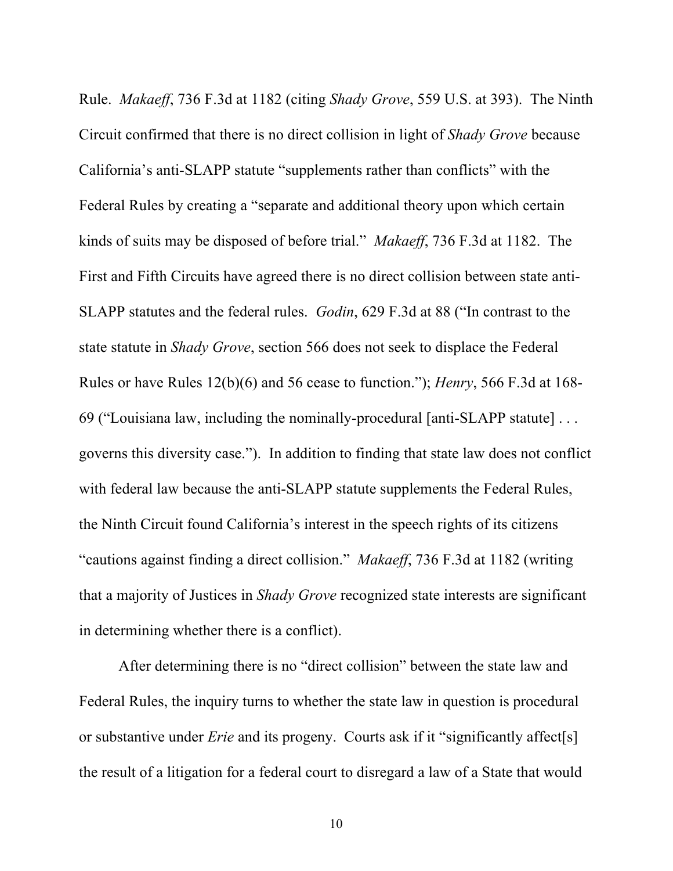Rule. *Makaeff*, 736 F.3d at 1182 (citing *Shady Grove*, 559 U.S. at 393). The Ninth Circuit confirmed that there is no direct collision in light of *Shady Grove* because California's anti-SLAPP statute "supplements rather than conflicts" with the Federal Rules by creating a "separate and additional theory upon which certain kinds of suits may be disposed of before trial." *Makaeff*, 736 F.3d at 1182. The First and Fifth Circuits have agreed there is no direct collision between state anti-SLAPP statutes and the federal rules. *Godin*, 629 F.3d at 88 ("In contrast to the state statute in *Shady Grove*, section 566 does not seek to displace the Federal Rules or have Rules 12(b)(6) and 56 cease to function."); *Henry*, 566 F.3d at 168- 69 ("Louisiana law, including the nominally-procedural [anti-SLAPP statute] . . . governs this diversity case."). In addition to finding that state law does not conflict with federal law because the anti-SLAPP statute supplements the Federal Rules, the Ninth Circuit found California's interest in the speech rights of its citizens "cautions against finding a direct collision." *Makaeff*, 736 F.3d at 1182 (writing that a majority of Justices in *Shady Grove* recognized state interests are significant in determining whether there is a conflict).

After determining there is no "direct collision" between the state law and Federal Rules, the inquiry turns to whether the state law in question is procedural or substantive under *Erie* and its progeny. Courts ask if it "significantly affect[s] the result of a litigation for a federal court to disregard a law of a State that would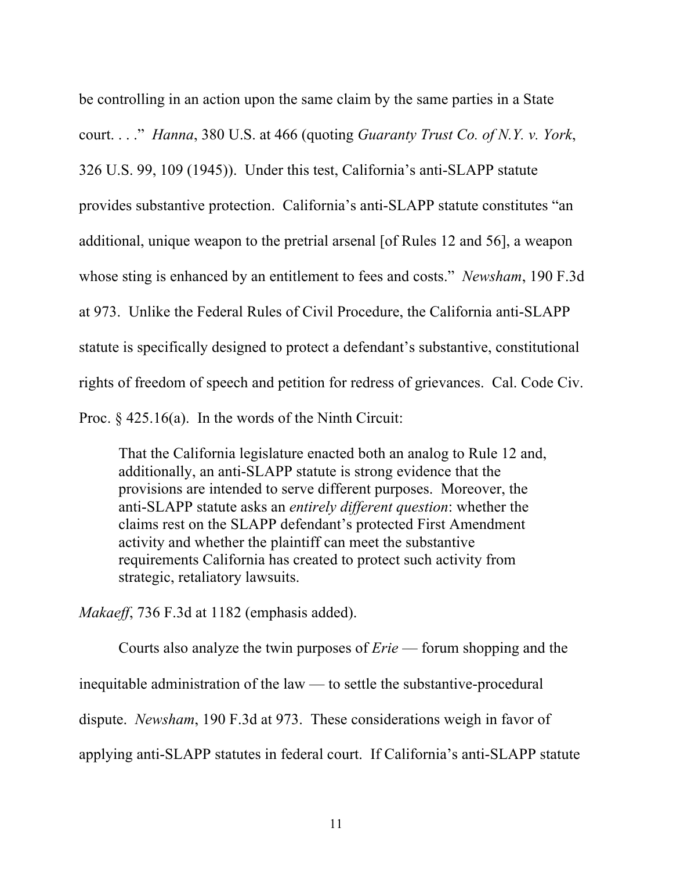be controlling in an action upon the same claim by the same parties in a State court. . . ." *Hanna*, 380 U.S. at 466 (quoting *Guaranty Trust Co. of N.Y. v. York*, 326 U.S. 99, 109 (1945)). Under this test, California's anti-SLAPP statute provides substantive protection. California's anti-SLAPP statute constitutes "an additional, unique weapon to the pretrial arsenal [of Rules 12 and 56], a weapon whose sting is enhanced by an entitlement to fees and costs." *Newsham*, 190 F.3d at 973. Unlike the Federal Rules of Civil Procedure, the California anti-SLAPP statute is specifically designed to protect a defendant's substantive, constitutional rights of freedom of speech and petition for redress of grievances. Cal. Code Civ. Proc.  $\frac{6}{7}$  425.16(a). In the words of the Ninth Circuit:

That the California legislature enacted both an analog to Rule 12 and, additionally, an anti-SLAPP statute is strong evidence that the provisions are intended to serve different purposes. Moreover, the anti-SLAPP statute asks an *entirely different question*: whether the claims rest on the SLAPP defendant's protected First Amendment activity and whether the plaintiff can meet the substantive requirements California has created to protect such activity from strategic, retaliatory lawsuits.

*Makaeff*, 736 F.3d at 1182 (emphasis added).

Courts also analyze the twin purposes of *Erie* — forum shopping and the inequitable administration of the law — to settle the substantive-procedural dispute. *Newsham*, 190 F.3d at 973. These considerations weigh in favor of applying anti-SLAPP statutes in federal court. If California's anti-SLAPP statute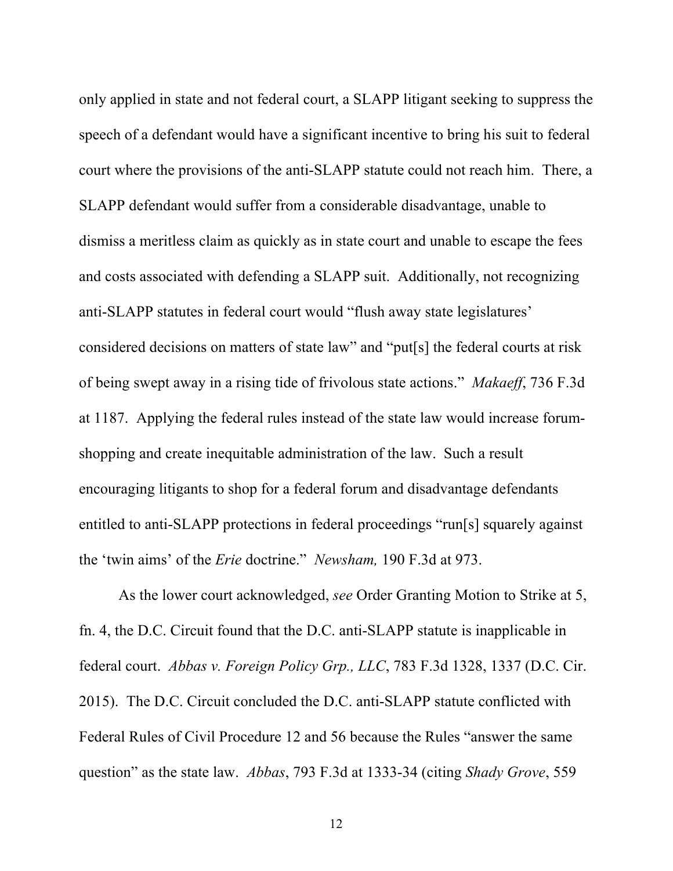only applied in state and not federal court, a SLAPP litigant seeking to suppress the speech of a defendant would have a significant incentive to bring his suit to federal court where the provisions of the anti-SLAPP statute could not reach him. There, a SLAPP defendant would suffer from a considerable disadvantage, unable to dismiss a meritless claim as quickly as in state court and unable to escape the fees and costs associated with defending a SLAPP suit. Additionally, not recognizing anti-SLAPP statutes in federal court would "flush away state legislatures' considered decisions on matters of state law" and "put[s] the federal courts at risk of being swept away in a rising tide of frivolous state actions." *Makaeff*, 736 F.3d at 1187. Applying the federal rules instead of the state law would increase forumshopping and create inequitable administration of the law. Such a result encouraging litigants to shop for a federal forum and disadvantage defendants entitled to anti-SLAPP protections in federal proceedings "run[s] squarely against the 'twin aims' of the *Erie* doctrine." *Newsham,* 190 F.3d at 973.

As the lower court acknowledged, *see* Order Granting Motion to Strike at 5, fn. 4, the D.C. Circuit found that the D.C. anti-SLAPP statute is inapplicable in federal court. *Abbas v. Foreign Policy Grp., LLC*, 783 F.3d 1328, 1337 (D.C. Cir. 2015). The D.C. Circuit concluded the D.C. anti-SLAPP statute conflicted with Federal Rules of Civil Procedure 12 and 56 because the Rules "answer the same question" as the state law. *Abbas*, 793 F.3d at 1333-34 (citing *Shady Grove*, 559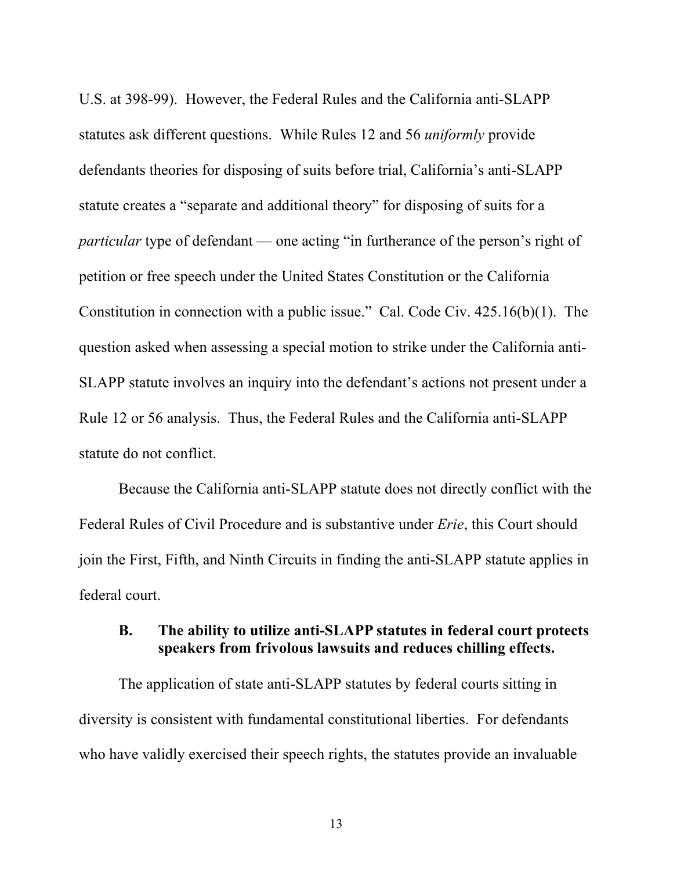U.S. at 398-99). However, the Federal Rules and the California anti-SLAPP statutes ask different questions. While Rules 12 and 56 *uniformly* provide defendants theories for disposing of suits before trial, California's anti-SLAPP statute creates a "separate and additional theory" for disposing of suits for a *particular* type of defendant — one acting "in furtherance of the person's right of petition or free speech under the United States Constitution or the California Constitution in connection with a public issue." Cal. Code Civ. 425.16(b)(1). The question asked when assessing a special motion to strike under the California anti-SLAPP statute involves an inquiry into the defendant's actions not present under a Rule 12 or 56 analysis. Thus, the Federal Rules and the California anti-SLAPP statute do not conflict.

Because the California anti-SLAPP statute does not directly conflict with the Federal Rules of Civil Procedure and is substantive under *Erie*, this Court should join the First, Fifth, and Ninth Circuits in finding the anti-SLAPP statute applies in federal court.

### **B. The ability to utilize anti-SLAPP statutes in federal court protects speakers from frivolous lawsuits and reduces chilling effects.**

The application of state anti-SLAPP statutes by federal courts sitting in diversity is consistent with fundamental constitutional liberties. For defendants who have validly exercised their speech rights, the statutes provide an invaluable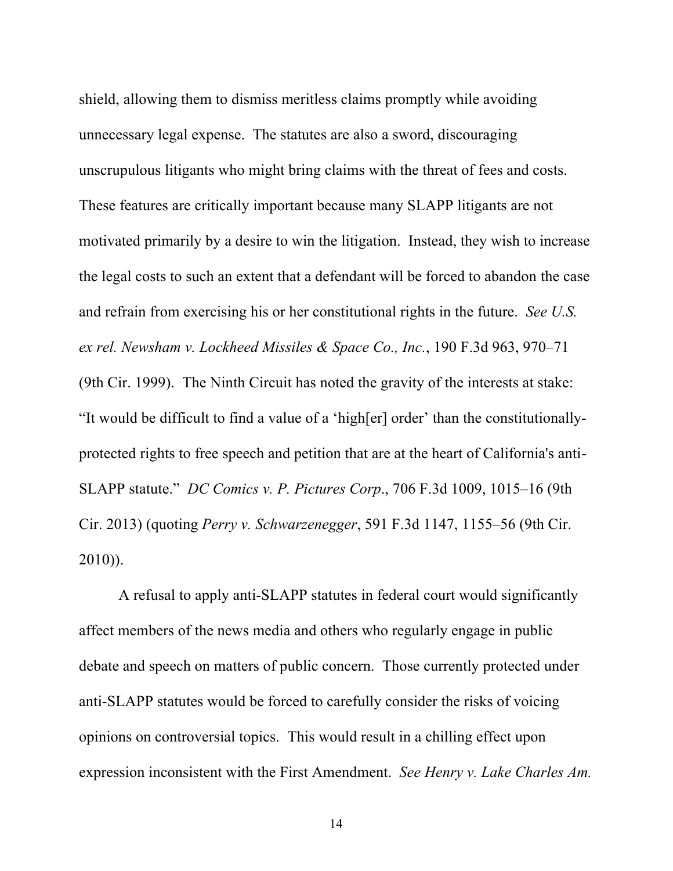shield, allowing them to dismiss meritless claims promptly while avoiding unnecessary legal expense. The statutes are also a sword, discouraging unscrupulous litigants who might bring claims with the threat of fees and costs. These features are critically important because many SLAPP litigants are not motivated primarily by a desire to win the litigation. Instead, they wish to increase the legal costs to such an extent that a defendant will be forced to abandon the case and refrain from exercising his or her constitutional rights in the future. *See U.S. ex rel. Newsham v. Lockheed Missiles & Space Co., Inc.*, 190 F.3d 963, 970–71 (9th Cir. 1999). The Ninth Circuit has noted the gravity of the interests at stake: "It would be difficult to find a value of a 'high[er] order' than the constitutionallyprotected rights to free speech and petition that are at the heart of California's anti-SLAPP statute." *DC Comics v. P. Pictures Corp*., 706 F.3d 1009, 1015–16 (9th Cir. 2013) (quoting *Perry v. Schwarzenegger*, 591 F.3d 1147, 1155–56 (9th Cir. 2010)).

A refusal to apply anti-SLAPP statutes in federal court would significantly affect members of the news media and others who regularly engage in public debate and speech on matters of public concern. Those currently protected under anti-SLAPP statutes would be forced to carefully consider the risks of voicing opinions on controversial topics. This would result in a chilling effect upon expression inconsistent with the First Amendment. *See Henry v. Lake Charles Am.*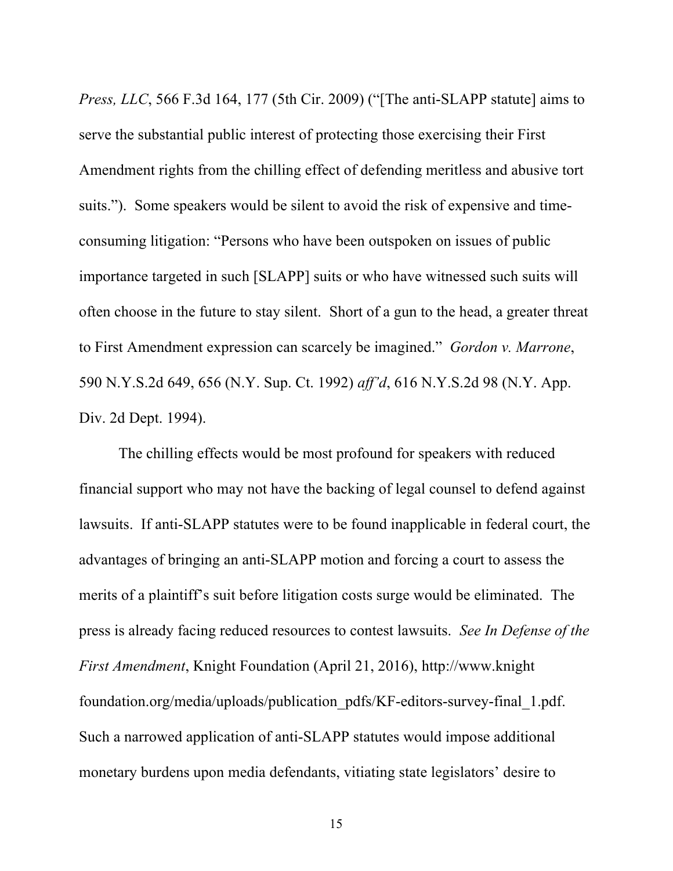*Press, LLC*, 566 F.3d 164, 177 (5th Cir. 2009) ("[The anti-SLAPP statute] aims to serve the substantial public interest of protecting those exercising their First Amendment rights from the chilling effect of defending meritless and abusive tort suits."). Some speakers would be silent to avoid the risk of expensive and timeconsuming litigation: "Persons who have been outspoken on issues of public importance targeted in such [SLAPP] suits or who have witnessed such suits will often choose in the future to stay silent. Short of a gun to the head, a greater threat to First Amendment expression can scarcely be imagined." *Gordon v. Marrone*, 590 N.Y.S.2d 649, 656 (N.Y. Sup. Ct. 1992) *aff'd*, 616 N.Y.S.2d 98 (N.Y. App. Div. 2d Dept. 1994).

The chilling effects would be most profound for speakers with reduced financial support who may not have the backing of legal counsel to defend against lawsuits. If anti-SLAPP statutes were to be found inapplicable in federal court, the advantages of bringing an anti-SLAPP motion and forcing a court to assess the merits of a plaintiff's suit before litigation costs surge would be eliminated. The press is already facing reduced resources to contest lawsuits. *See In Defense of the First Amendment*, Knight Foundation (April 21, 2016), http://www.knight foundation.org/media/uploads/publication\_pdfs/KF-editors-survey-final\_1.pdf. Such a narrowed application of anti-SLAPP statutes would impose additional monetary burdens upon media defendants, vitiating state legislators' desire to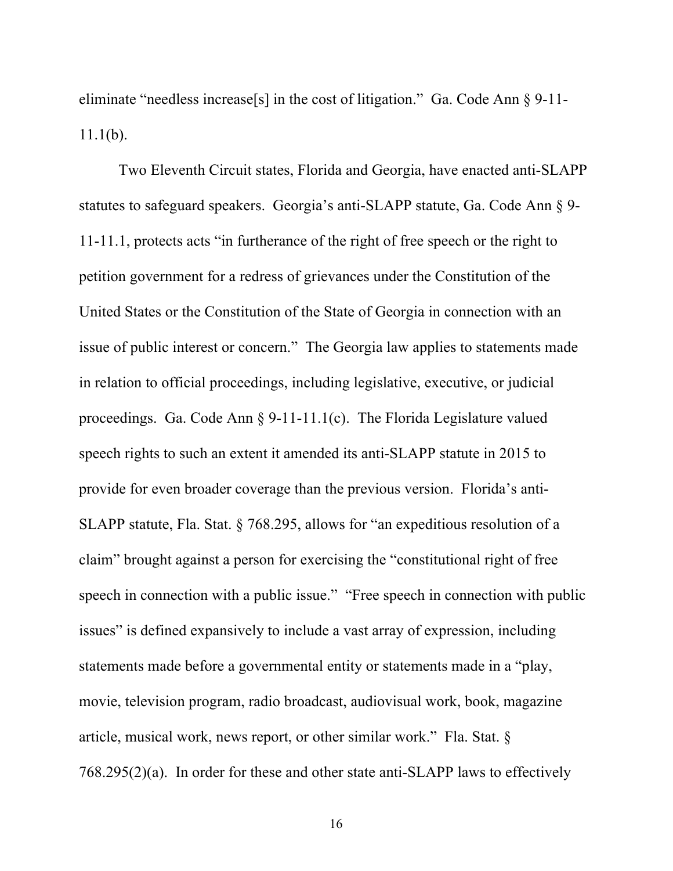eliminate "needless increase[s] in the cost of litigation." Ga. Code Ann § 9-11-  $11.1(b)$ .

Two Eleventh Circuit states, Florida and Georgia, have enacted anti-SLAPP statutes to safeguard speakers. Georgia's anti-SLAPP statute, Ga. Code Ann § 9- 11-11.1, protects acts "in furtherance of the right of free speech or the right to petition government for a redress of grievances under the Constitution of the United States or the Constitution of the State of Georgia in connection with an issue of public interest or concern." The Georgia law applies to statements made in relation to official proceedings, including legislative, executive, or judicial proceedings. Ga. Code Ann § 9-11-11.1(c). The Florida Legislature valued speech rights to such an extent it amended its anti-SLAPP statute in 2015 to provide for even broader coverage than the previous version. Florida's anti-SLAPP statute, Fla. Stat. § 768.295, allows for "an expeditious resolution of a claim" brought against a person for exercising the "constitutional right of free speech in connection with a public issue." "Free speech in connection with public issues" is defined expansively to include a vast array of expression, including statements made before a governmental entity or statements made in a "play, movie, television program, radio broadcast, audiovisual work, book, magazine article, musical work, news report, or other similar work." Fla. Stat. § 768.295(2)(a). In order for these and other state anti-SLAPP laws to effectively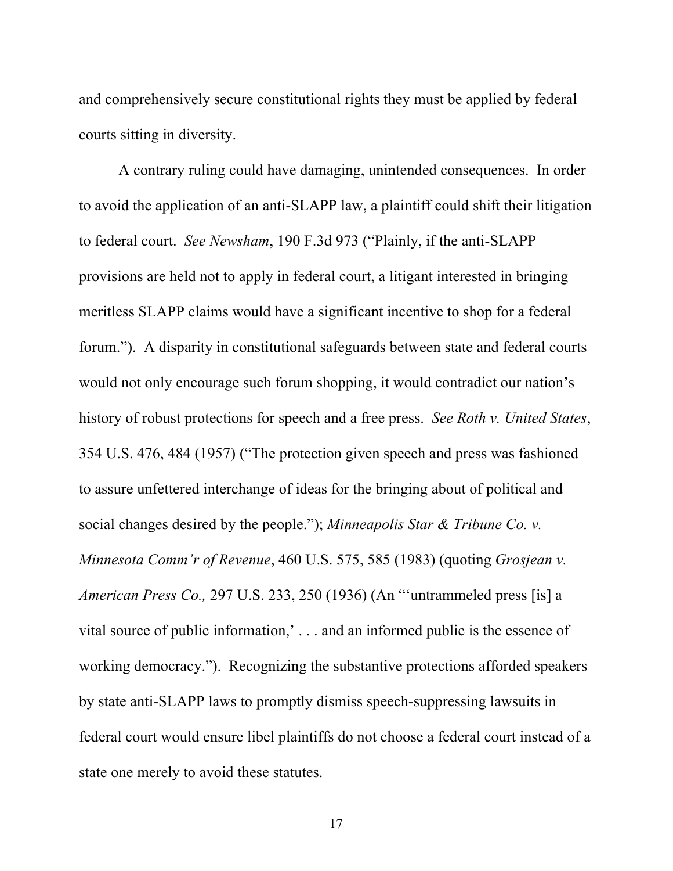and comprehensively secure constitutional rights they must be applied by federal courts sitting in diversity.

A contrary ruling could have damaging, unintended consequences. In order to avoid the application of an anti-SLAPP law, a plaintiff could shift their litigation to federal court. *See Newsham*, 190 F.3d 973 ("Plainly, if the anti-SLAPP provisions are held not to apply in federal court, a litigant interested in bringing meritless SLAPP claims would have a significant incentive to shop for a federal forum."). A disparity in constitutional safeguards between state and federal courts would not only encourage such forum shopping, it would contradict our nation's history of robust protections for speech and a free press. *See Roth v. United States*, 354 U.S. 476, 484 (1957) ("The protection given speech and press was fashioned to assure unfettered interchange of ideas for the bringing about of political and social changes desired by the people."); *Minneapolis Star & Tribune Co. v. Minnesota Comm'r of Revenue*, 460 U.S. 575, 585 (1983) (quoting *Grosjean v. American Press Co.,* 297 U.S. 233, 250 (1936) (An "'untrammeled press [is] a vital source of public information,' . . . and an informed public is the essence of working democracy."). Recognizing the substantive protections afforded speakers by state anti-SLAPP laws to promptly dismiss speech-suppressing lawsuits in federal court would ensure libel plaintiffs do not choose a federal court instead of a state one merely to avoid these statutes.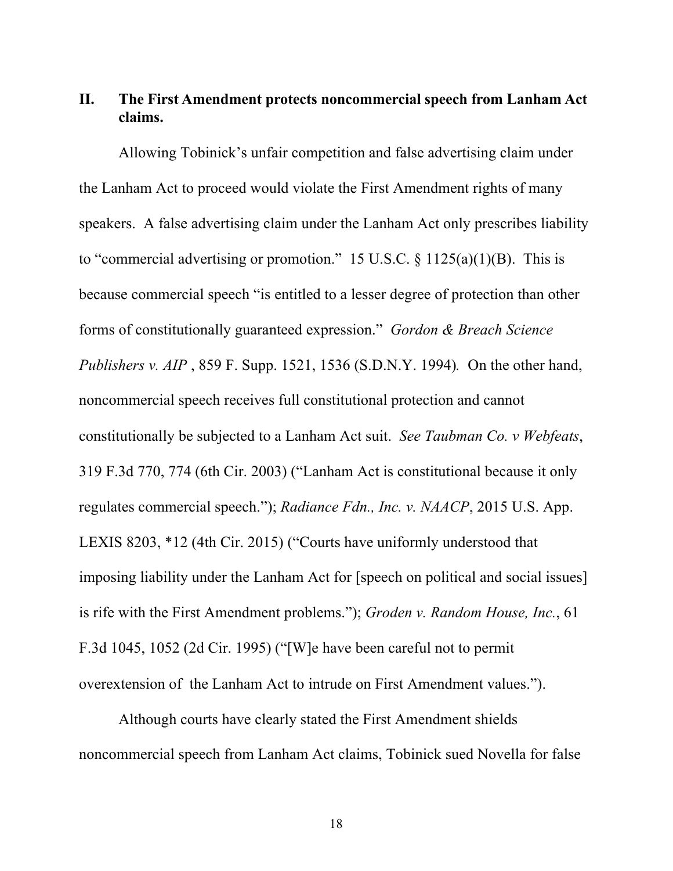#### **II. The First Amendment protects noncommercial speech from Lanham Act claims.**

Allowing Tobinick's unfair competition and false advertising claim under the Lanham Act to proceed would violate the First Amendment rights of many speakers. A false advertising claim under the Lanham Act only prescribes liability to "commercial advertising or promotion." 15 U.S.C.  $\S$  1125(a)(1)(B). This is because commercial speech "is entitled to a lesser degree of protection than other forms of constitutionally guaranteed expression." *Gordon & Breach Science Publishers v. AIP* , 859 F. Supp. 1521, 1536 (S.D.N.Y. 1994)*.* On the other hand, noncommercial speech receives full constitutional protection and cannot constitutionally be subjected to a Lanham Act suit. *See Taubman Co. v Webfeats*, 319 F.3d 770, 774 (6th Cir. 2003) ("Lanham Act is constitutional because it only regulates commercial speech."); *Radiance Fdn., Inc. v. NAACP*, 2015 U.S. App. LEXIS 8203, \*12 (4th Cir. 2015) ("Courts have uniformly understood that imposing liability under the Lanham Act for [speech on political and social issues] is rife with the First Amendment problems."); *Groden v. Random House, Inc.*, 61 F.3d 1045, 1052 (2d Cir. 1995) ("[W]e have been careful not to permit overextension of the Lanham Act to intrude on First Amendment values.").

Although courts have clearly stated the First Amendment shields noncommercial speech from Lanham Act claims, Tobinick sued Novella for false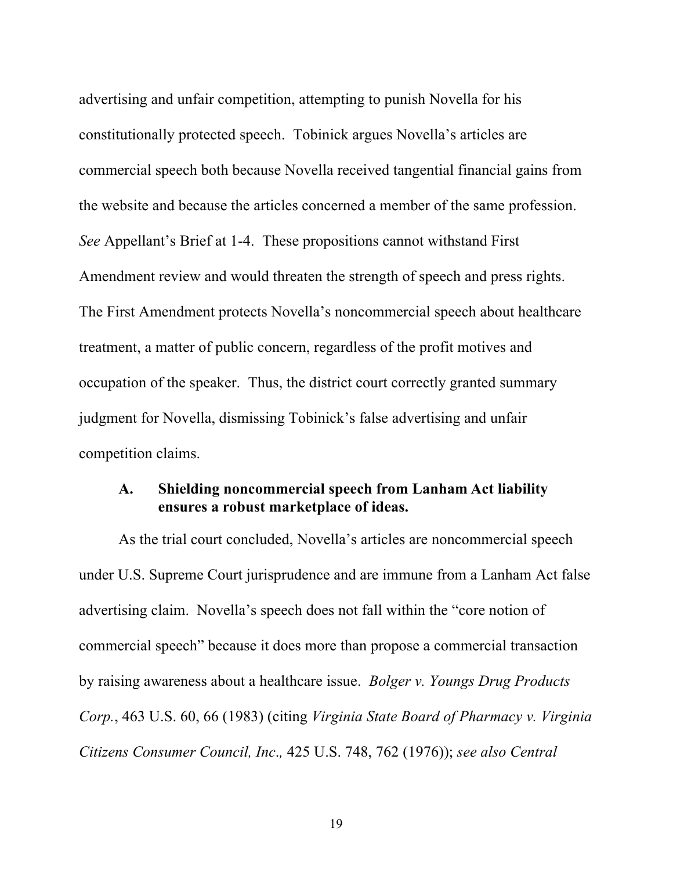advertising and unfair competition, attempting to punish Novella for his constitutionally protected speech. Tobinick argues Novella's articles are commercial speech both because Novella received tangential financial gains from the website and because the articles concerned a member of the same profession. *See* Appellant's Brief at 1-4. These propositions cannot withstand First Amendment review and would threaten the strength of speech and press rights. The First Amendment protects Novella's noncommercial speech about healthcare treatment, a matter of public concern, regardless of the profit motives and occupation of the speaker. Thus, the district court correctly granted summary judgment for Novella, dismissing Tobinick's false advertising and unfair competition claims.

#### **A. Shielding noncommercial speech from Lanham Act liability ensures a robust marketplace of ideas.**

As the trial court concluded, Novella's articles are noncommercial speech under U.S. Supreme Court jurisprudence and are immune from a Lanham Act false advertising claim. Novella's speech does not fall within the "core notion of commercial speech" because it does more than propose a commercial transaction by raising awareness about a healthcare issue. *Bolger v. Youngs Drug Products Corp.*, 463 U.S. 60, 66 (1983) (citing *Virginia State Board of Pharmacy v. Virginia Citizens Consumer Council, Inc*.*,* 425 U.S. 748, 762 (1976)); *see also Central*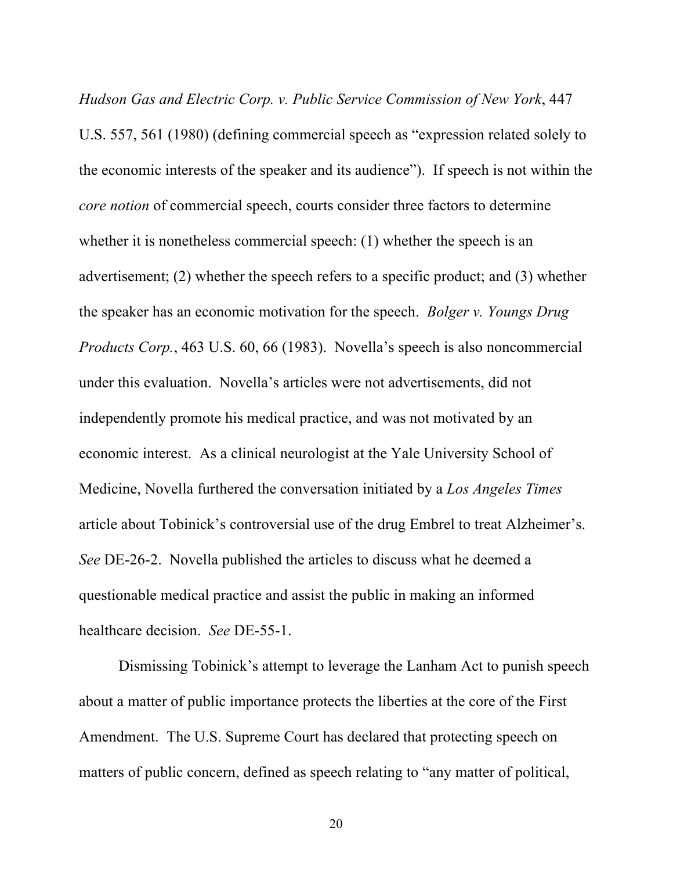*Hudson Gas and Electric Corp. v. Public Service Commission of New York*, 447 U.S. 557, 561 (1980) (defining commercial speech as "expression related solely to the economic interests of the speaker and its audience"). If speech is not within the *core notion* of commercial speech, courts consider three factors to determine whether it is nonetheless commercial speech: (1) whether the speech is an advertisement; (2) whether the speech refers to a specific product; and (3) whether the speaker has an economic motivation for the speech. *Bolger v. Youngs Drug Products Corp.*, 463 U.S. 60, 66 (1983). Novella's speech is also noncommercial under this evaluation. Novella's articles were not advertisements, did not independently promote his medical practice, and was not motivated by an economic interest. As a clinical neurologist at the Yale University School of Medicine, Novella furthered the conversation initiated by a *Los Angeles Times* article about Tobinick's controversial use of the drug Embrel to treat Alzheimer's. *See* DE-26-2. Novella published the articles to discuss what he deemed a questionable medical practice and assist the public in making an informed healthcare decision. *See* DE-55-1.

Dismissing Tobinick's attempt to leverage the Lanham Act to punish speech about a matter of public importance protects the liberties at the core of the First Amendment. The U.S. Supreme Court has declared that protecting speech on matters of public concern, defined as speech relating to "any matter of political,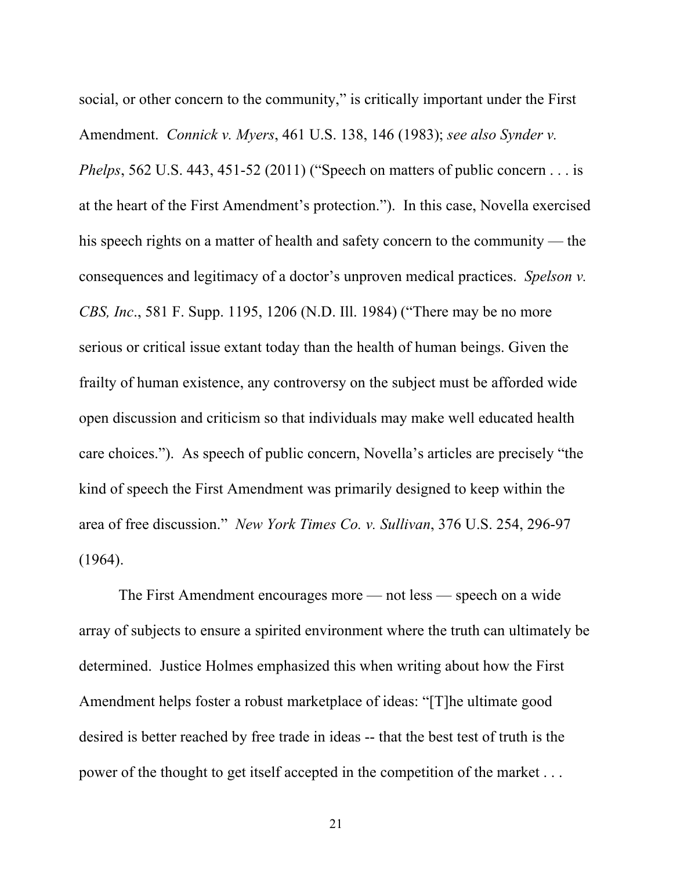social, or other concern to the community," is critically important under the First Amendment. *Connick v. Myers*, 461 U.S. 138, 146 (1983); *see also Synder v. Phelps*, 562 U.S. 443, 451-52 (2011) ("Speech on matters of public concern . . . is at the heart of the First Amendment's protection."). In this case, Novella exercised his speech rights on a matter of health and safety concern to the community — the consequences and legitimacy of a doctor's unproven medical practices. *Spelson v. CBS, Inc*., 581 F. Supp. 1195, 1206 (N.D. Ill. 1984) ("There may be no more serious or critical issue extant today than the health of human beings. Given the frailty of human existence, any controversy on the subject must be afforded wide open discussion and criticism so that individuals may make well educated health care choices."). As speech of public concern, Novella's articles are precisely "the kind of speech the First Amendment was primarily designed to keep within the area of free discussion." *New York Times Co. v. Sullivan*, 376 U.S. 254, 296-97 (1964).

The First Amendment encourages more — not less — speech on a wide array of subjects to ensure a spirited environment where the truth can ultimately be determined. Justice Holmes emphasized this when writing about how the First Amendment helps foster a robust marketplace of ideas: "[T]he ultimate good desired is better reached by free trade in ideas -- that the best test of truth is the power of the thought to get itself accepted in the competition of the market . . .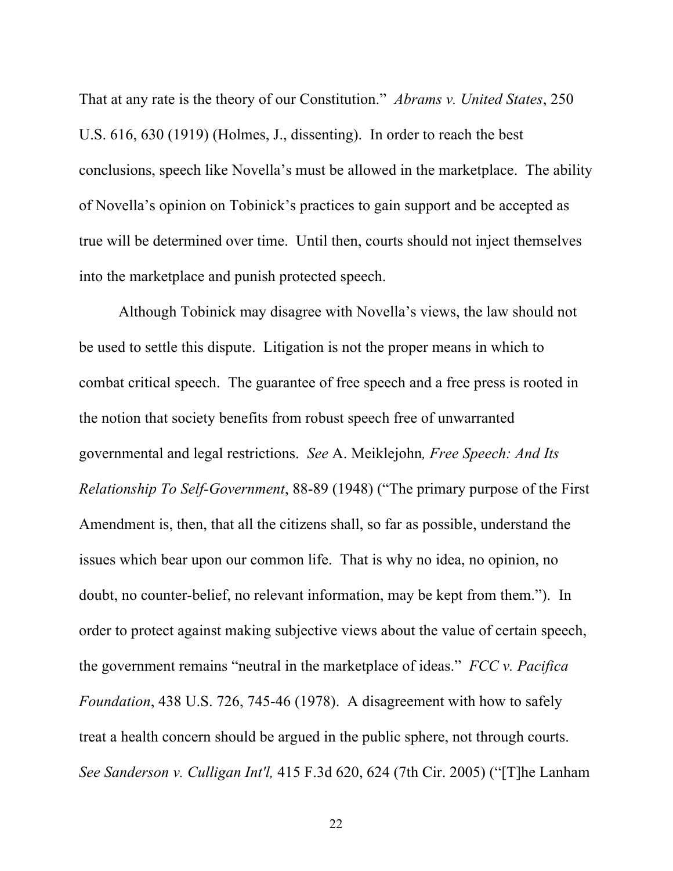That at any rate is the theory of our Constitution." *Abrams v. United States*, 250 U.S. 616, 630 (1919) (Holmes, J., dissenting). In order to reach the best conclusions, speech like Novella's must be allowed in the marketplace. The ability of Novella's opinion on Tobinick's practices to gain support and be accepted as true will be determined over time. Until then, courts should not inject themselves into the marketplace and punish protected speech.

Although Tobinick may disagree with Novella's views, the law should not be used to settle this dispute. Litigation is not the proper means in which to combat critical speech. The guarantee of free speech and a free press is rooted in the notion that society benefits from robust speech free of unwarranted governmental and legal restrictions. *See* A. Meiklejohn*, Free Speech: And Its Relationship To Self-Government*, 88-89 (1948) ("The primary purpose of the First Amendment is, then, that all the citizens shall, so far as possible, understand the issues which bear upon our common life. That is why no idea, no opinion, no doubt, no counter-belief, no relevant information, may be kept from them."). In order to protect against making subjective views about the value of certain speech, the government remains "neutral in the marketplace of ideas." *FCC v. Pacifica Foundation*, 438 U.S. 726, 745-46 (1978). A disagreement with how to safely treat a health concern should be argued in the public sphere, not through courts. *See Sanderson v. Culligan Int'l,* 415 F.3d 620, 624 (7th Cir. 2005) ("[T]he Lanham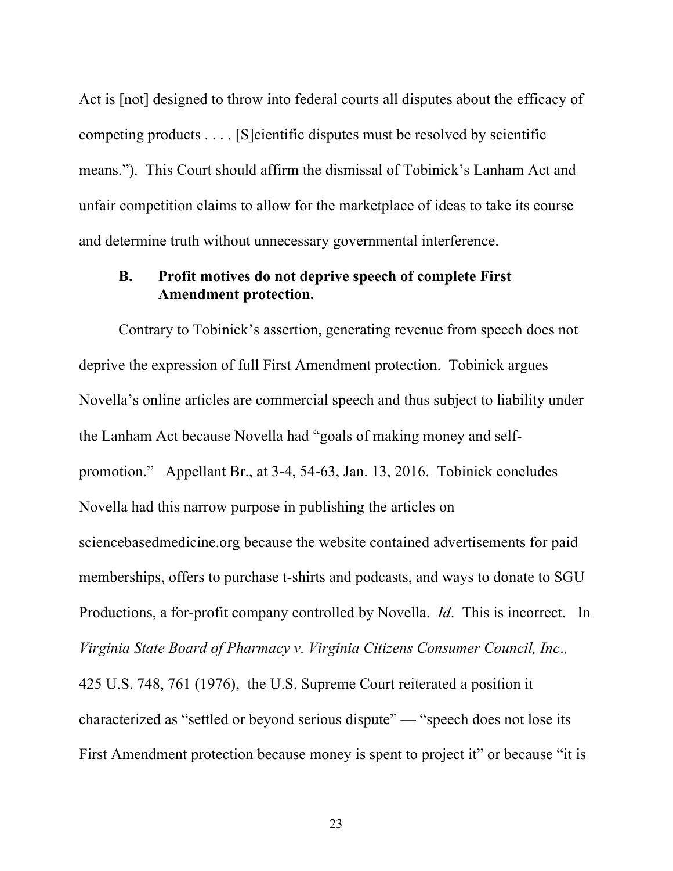Act is [not] designed to throw into federal courts all disputes about the efficacy of competing products . . . . [S]cientific disputes must be resolved by scientific means."). This Court should affirm the dismissal of Tobinick's Lanham Act and unfair competition claims to allow for the marketplace of ideas to take its course and determine truth without unnecessary governmental interference.

### **B. Profit motives do not deprive speech of complete First Amendment protection.**

Contrary to Tobinick's assertion, generating revenue from speech does not deprive the expression of full First Amendment protection. Tobinick argues Novella's online articles are commercial speech and thus subject to liability under the Lanham Act because Novella had "goals of making money and selfpromotion." Appellant Br., at 3-4, 54-63, Jan. 13, 2016. Tobinick concludes Novella had this narrow purpose in publishing the articles on sciencebasedmedicine.org because the website contained advertisements for paid memberships, offers to purchase t-shirts and podcasts, and ways to donate to SGU Productions, a for-profit company controlled by Novella. *Id*. This is incorrect. In *Virginia State Board of Pharmacy v. Virginia Citizens Consumer Council, Inc*.*,* 425 U.S. 748, 761 (1976), the U.S. Supreme Court reiterated a position it characterized as "settled or beyond serious dispute" — "speech does not lose its First Amendment protection because money is spent to project it" or because "it is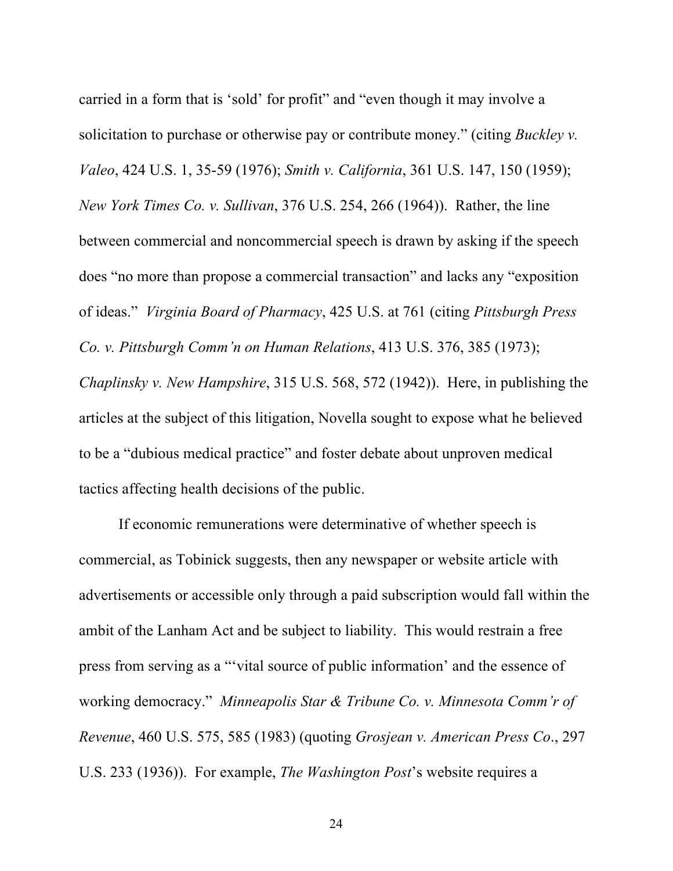carried in a form that is 'sold' for profit" and "even though it may involve a solicitation to purchase or otherwise pay or contribute money." (citing *Buckley v. Valeo*, 424 U.S. 1, 35-59 (1976); *Smith v. California*, 361 U.S. 147, 150 (1959); *New York Times Co. v. Sullivan*, 376 U.S. 254, 266 (1964)). Rather, the line between commercial and noncommercial speech is drawn by asking if the speech does "no more than propose a commercial transaction" and lacks any "exposition of ideas." *Virginia Board of Pharmacy*, 425 U.S. at 761 (citing *Pittsburgh Press Co. v. Pittsburgh Comm'n on Human Relations*, 413 U.S. 376, 385 (1973); *Chaplinsky v. New Hampshire*, 315 U.S. 568, 572 (1942)). Here, in publishing the articles at the subject of this litigation, Novella sought to expose what he believed to be a "dubious medical practice" and foster debate about unproven medical tactics affecting health decisions of the public.

If economic remunerations were determinative of whether speech is commercial, as Tobinick suggests, then any newspaper or website article with advertisements or accessible only through a paid subscription would fall within the ambit of the Lanham Act and be subject to liability. This would restrain a free press from serving as a "'vital source of public information' and the essence of working democracy." *Minneapolis Star & Tribune Co. v. Minnesota Comm'r of Revenue*, 460 U.S. 575, 585 (1983) (quoting *Grosjean v. American Press Co*., 297 U.S. 233 (1936)). For example, *The Washington Post*'s website requires a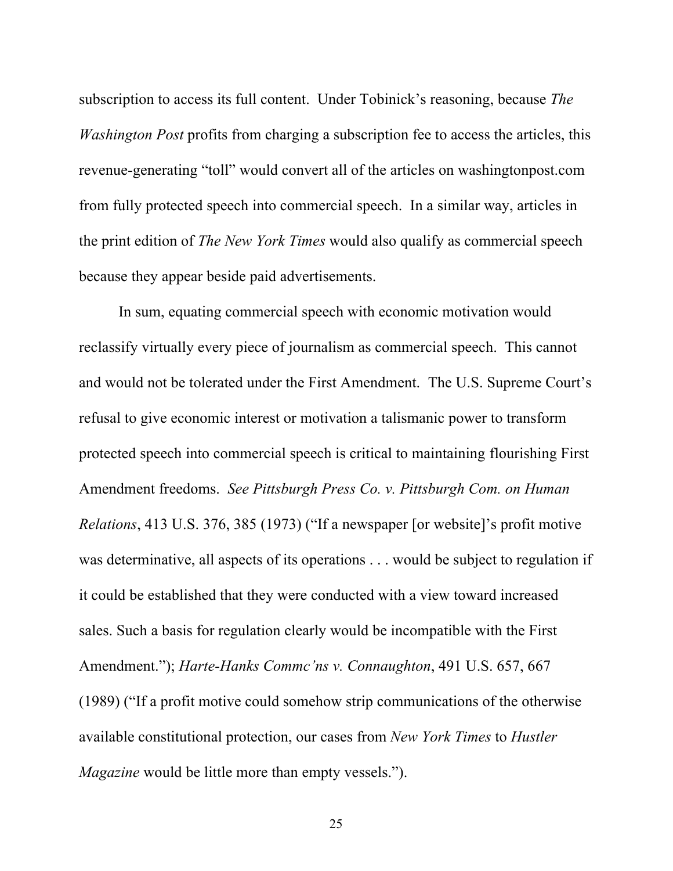subscription to access its full content. Under Tobinick's reasoning, because *The Washington Post* profits from charging a subscription fee to access the articles, this revenue-generating "toll" would convert all of the articles on washingtonpost.com from fully protected speech into commercial speech. In a similar way, articles in the print edition of *The New York Times* would also qualify as commercial speech because they appear beside paid advertisements.

In sum, equating commercial speech with economic motivation would reclassify virtually every piece of journalism as commercial speech. This cannot and would not be tolerated under the First Amendment. The U.S. Supreme Court's refusal to give economic interest or motivation a talismanic power to transform protected speech into commercial speech is critical to maintaining flourishing First Amendment freedoms. *See Pittsburgh Press Co. v. Pittsburgh Com. on Human Relations*, 413 U.S. 376, 385 (1973) ("If a newspaper [or website]'s profit motive was determinative, all aspects of its operations . . . would be subject to regulation if it could be established that they were conducted with a view toward increased sales. Such a basis for regulation clearly would be incompatible with the First Amendment."); *Harte-Hanks Commc'ns v. Connaughton*, 491 U.S. 657, 667 (1989) ("If a profit motive could somehow strip communications of the otherwise available constitutional protection, our cases from *New York Times* to *Hustler Magazine* would be little more than empty vessels.").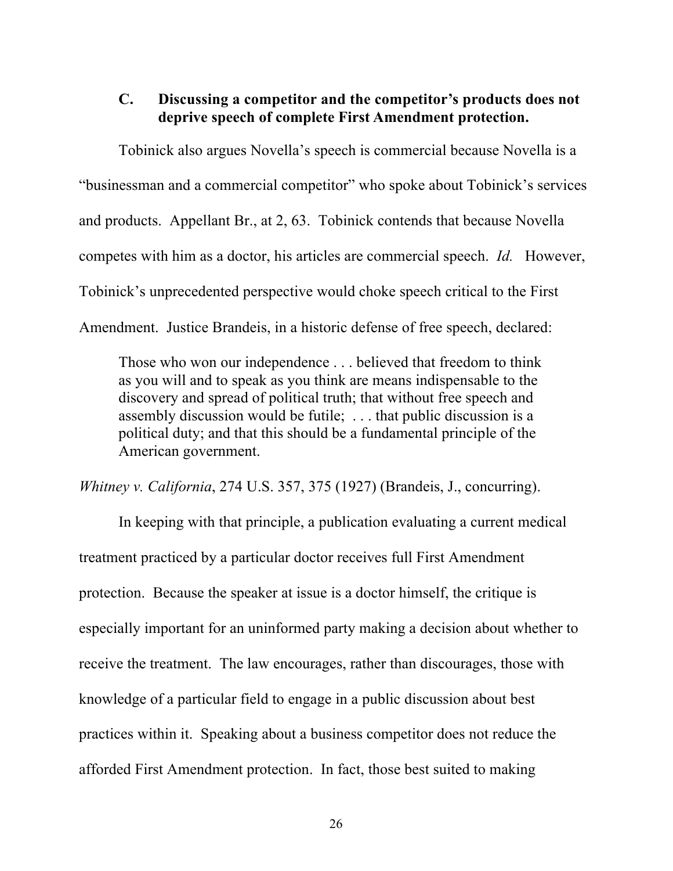#### **C. Discussing a competitor and the competitor's products does not deprive speech of complete First Amendment protection.**

Tobinick also argues Novella's speech is commercial because Novella is a "businessman and a commercial competitor" who spoke about Tobinick's services and products. Appellant Br., at 2, 63. Tobinick contends that because Novella competes with him as a doctor, his articles are commercial speech. *Id.* However, Tobinick's unprecedented perspective would choke speech critical to the First Amendment. Justice Brandeis, in a historic defense of free speech, declared:

Those who won our independence . . . believed that freedom to think as you will and to speak as you think are means indispensable to the discovery and spread of political truth; that without free speech and assembly discussion would be futile; . . . that public discussion is a political duty; and that this should be a fundamental principle of the American government.

*Whitney v. California*, 274 U.S. 357, 375 (1927) (Brandeis, J., concurring).

In keeping with that principle, a publication evaluating a current medical treatment practiced by a particular doctor receives full First Amendment protection. Because the speaker at issue is a doctor himself, the critique is especially important for an uninformed party making a decision about whether to receive the treatment. The law encourages, rather than discourages, those with knowledge of a particular field to engage in a public discussion about best practices within it. Speaking about a business competitor does not reduce the afforded First Amendment protection. In fact, those best suited to making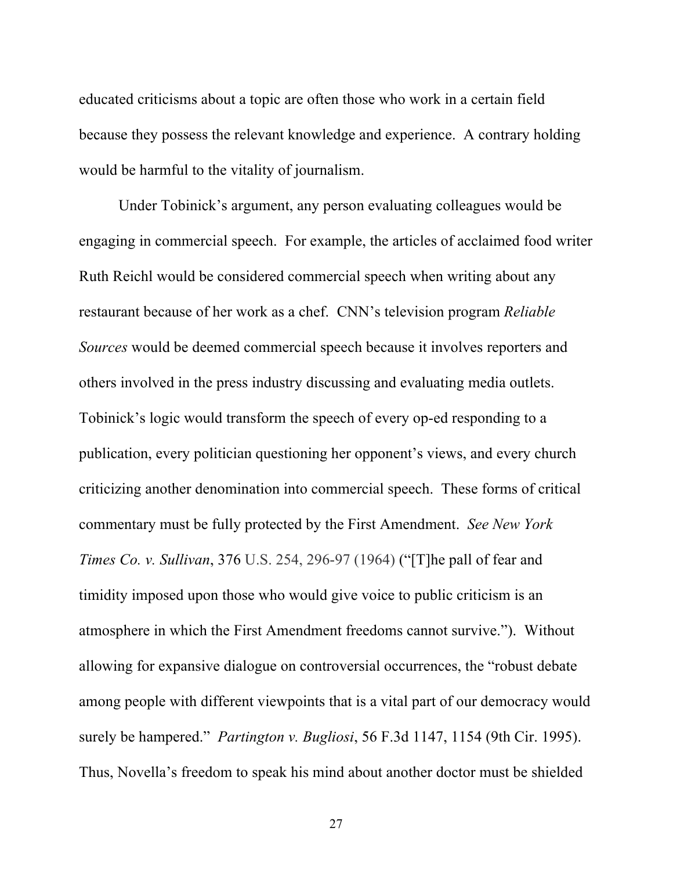educated criticisms about a topic are often those who work in a certain field because they possess the relevant knowledge and experience. A contrary holding would be harmful to the vitality of journalism.

Under Tobinick's argument, any person evaluating colleagues would be engaging in commercial speech. For example, the articles of acclaimed food writer Ruth Reichl would be considered commercial speech when writing about any restaurant because of her work as a chef. CNN's television program *Reliable Sources* would be deemed commercial speech because it involves reporters and others involved in the press industry discussing and evaluating media outlets. Tobinick's logic would transform the speech of every op-ed responding to a publication, every politician questioning her opponent's views, and every church criticizing another denomination into commercial speech. These forms of critical commentary must be fully protected by the First Amendment. *See New York Times Co. v. Sullivan*, 376 U.S. 254, 296-97 (1964) ("[T]he pall of fear and timidity imposed upon those who would give voice to public criticism is an atmosphere in which the First Amendment freedoms cannot survive."). Without allowing for expansive dialogue on controversial occurrences, the "robust debate among people with different viewpoints that is a vital part of our democracy would surely be hampered." *Partington v. Bugliosi*, 56 F.3d 1147, 1154 (9th Cir. 1995). Thus, Novella's freedom to speak his mind about another doctor must be shielded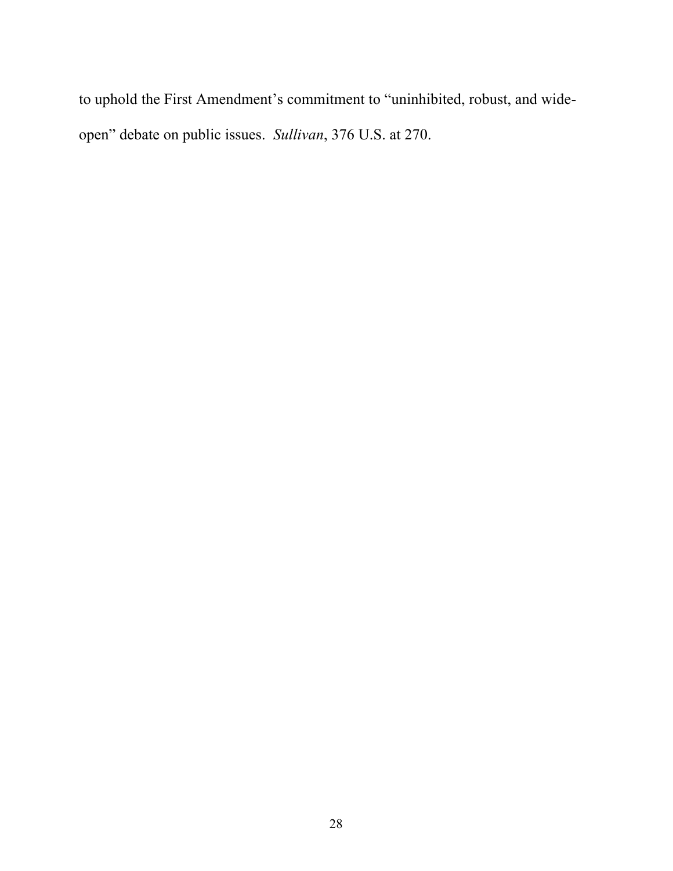to uphold the First Amendment's commitment to "uninhibited, robust, and wideopen" debate on public issues. *Sullivan*, 376 U.S. at 270.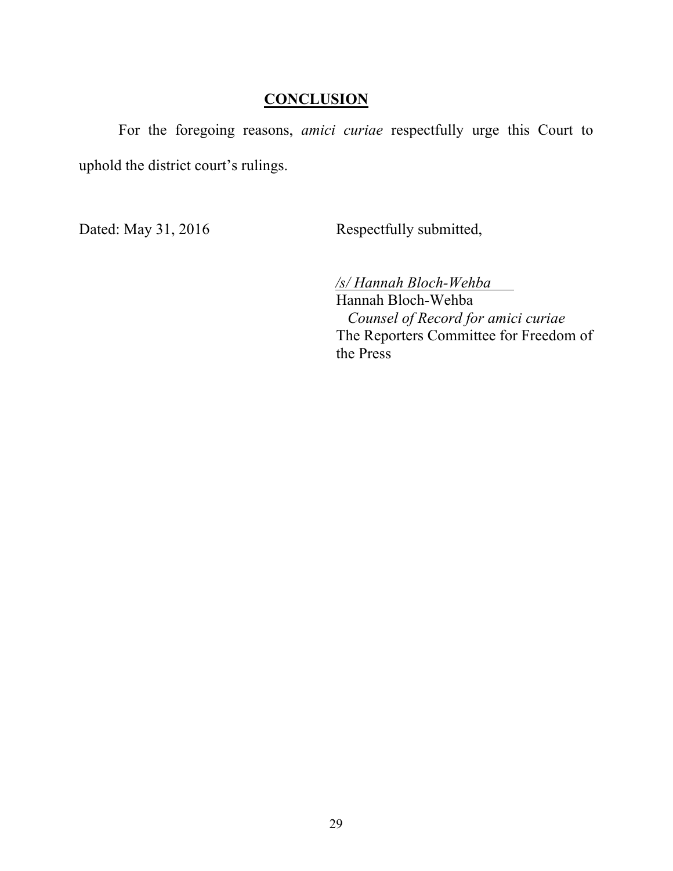## **CONCLUSION**

For the foregoing reasons, *amici curiae* respectfully urge this Court to uphold the district court's rulings.

Dated: May 31, 2016 Respectfully submitted,

 */s/ Hannah Bloch-Wehba*

Hannah Bloch-Wehba  *Counsel of Record for amici curiae*  The Reporters Committee for Freedom of the Press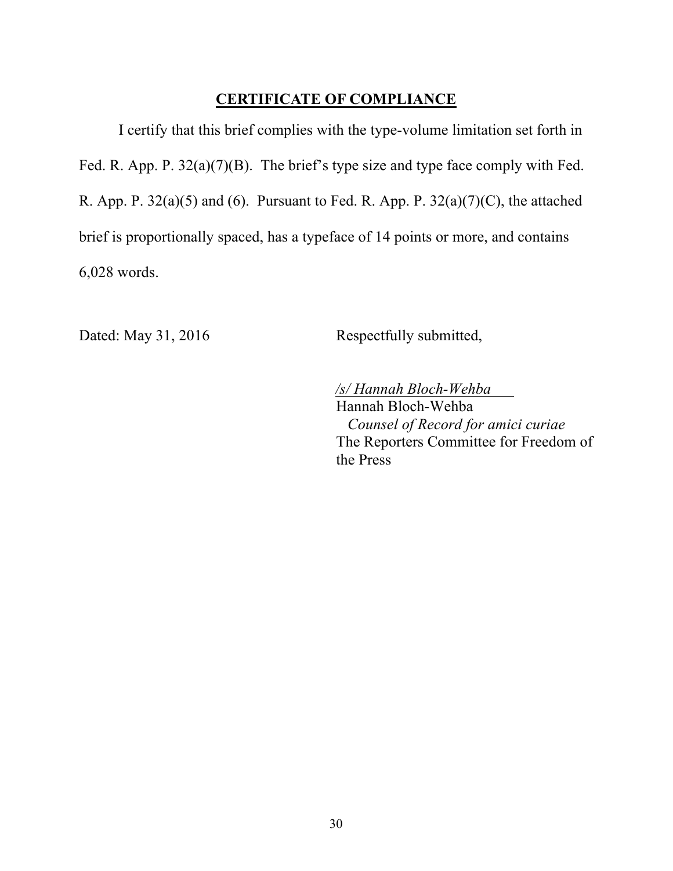## **CERTIFICATE OF COMPLIANCE**

I certify that this brief complies with the type-volume limitation set forth in Fed. R. App. P. 32(a)(7)(B). The brief's type size and type face comply with Fed. R. App. P.  $32(a)(5)$  and (6). Pursuant to Fed. R. App. P.  $32(a)(7)(C)$ , the attached brief is proportionally spaced, has a typeface of 14 points or more, and contains 6,028 words.

Dated: May 31, 2016 Respectfully submitted,

 */s/ Hannah Bloch-Wehba* Hannah Bloch-Wehba  *Counsel of Record for amici curiae*  The Reporters Committee for Freedom of the Press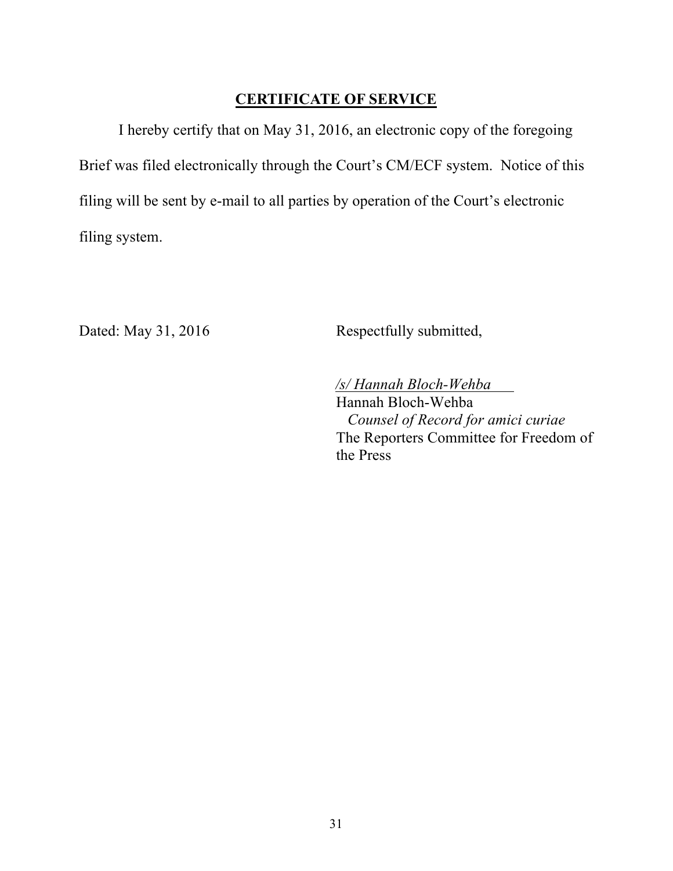## **CERTIFICATE OF SERVICE**

I hereby certify that on May 31, 2016, an electronic copy of the foregoing Brief was filed electronically through the Court's CM/ECF system. Notice of this filing will be sent by e-mail to all parties by operation of the Court's electronic filing system.

Dated: May 31, 2016 Respectfully submitted,

 */s/ Hannah Bloch-Wehba* Hannah Bloch-Wehba  *Counsel of Record for amici curiae*  The Reporters Committee for Freedom of the Press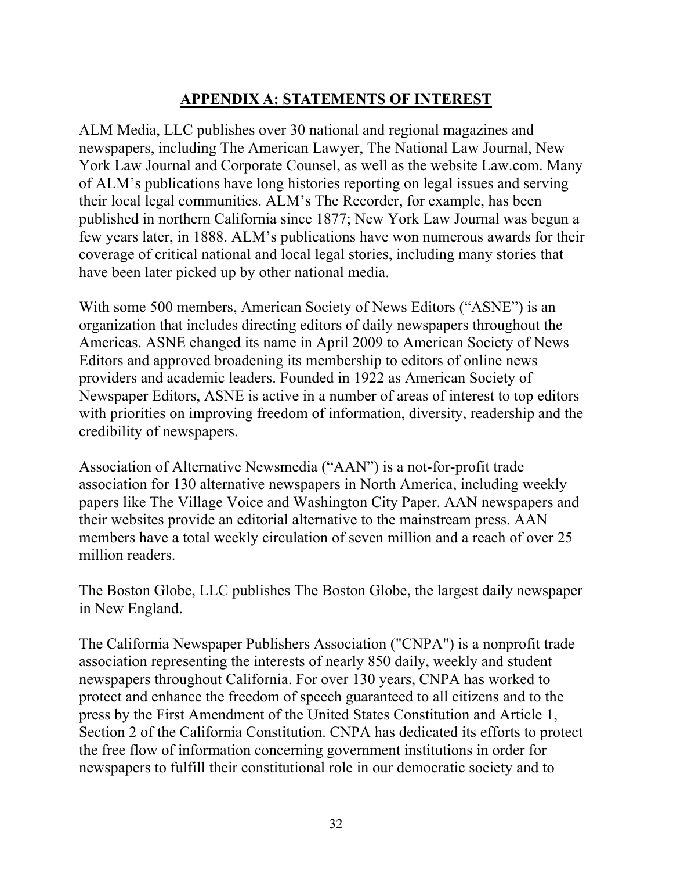## **APPENDIX A: STATEMENTS OF INTEREST**

ALM Media, LLC publishes over 30 national and regional magazines and newspapers, including The American Lawyer, The National Law Journal, New York Law Journal and Corporate Counsel, as well as the website Law.com. Many of ALM's publications have long histories reporting on legal issues and serving their local legal communities. ALM's The Recorder, for example, has been published in northern California since 1877; New York Law Journal was begun a few years later, in 1888. ALM's publications have won numerous awards for their coverage of critical national and local legal stories, including many stories that have been later picked up by other national media.

With some 500 members, American Society of News Editors ("ASNE") is an organization that includes directing editors of daily newspapers throughout the Americas. ASNE changed its name in April 2009 to American Society of News Editors and approved broadening its membership to editors of online news providers and academic leaders. Founded in 1922 as American Society of Newspaper Editors, ASNE is active in a number of areas of interest to top editors with priorities on improving freedom of information, diversity, readership and the credibility of newspapers.

Association of Alternative Newsmedia ("AAN") is a not-for-profit trade association for 130 alternative newspapers in North America, including weekly papers like The Village Voice and Washington City Paper. AAN newspapers and their websites provide an editorial alternative to the mainstream press. AAN members have a total weekly circulation of seven million and a reach of over 25 million readers.

The Boston Globe, LLC publishes The Boston Globe, the largest daily newspaper in New England.

The California Newspaper Publishers Association ("CNPA") is a nonprofit trade association representing the interests of nearly 850 daily, weekly and student newspapers throughout California. For over 130 years, CNPA has worked to protect and enhance the freedom of speech guaranteed to all citizens and to the press by the First Amendment of the United States Constitution and Article 1, Section 2 of the California Constitution. CNPA has dedicated its efforts to protect the free flow of information concerning government institutions in order for newspapers to fulfill their constitutional role in our democratic society and to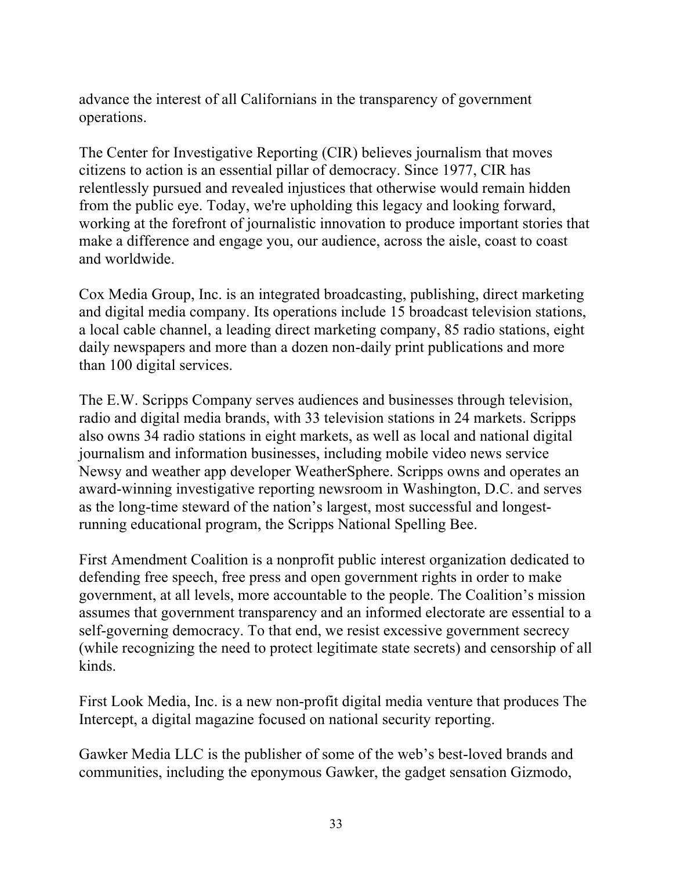advance the interest of all Californians in the transparency of government operations.

The Center for Investigative Reporting (CIR) believes journalism that moves citizens to action is an essential pillar of democracy. Since 1977, CIR has relentlessly pursued and revealed injustices that otherwise would remain hidden from the public eye. Today, we're upholding this legacy and looking forward, working at the forefront of journalistic innovation to produce important stories that make a difference and engage you, our audience, across the aisle, coast to coast and worldwide.

Cox Media Group, Inc. is an integrated broadcasting, publishing, direct marketing and digital media company. Its operations include 15 broadcast television stations, a local cable channel, a leading direct marketing company, 85 radio stations, eight daily newspapers and more than a dozen non-daily print publications and more than 100 digital services.

The E.W. Scripps Company serves audiences and businesses through television, radio and digital media brands, with 33 television stations in 24 markets. Scripps also owns 34 radio stations in eight markets, as well as local and national digital journalism and information businesses, including mobile video news service Newsy and weather app developer WeatherSphere. Scripps owns and operates an award-winning investigative reporting newsroom in Washington, D.C. and serves as the long-time steward of the nation's largest, most successful and longestrunning educational program, the Scripps National Spelling Bee.

First Amendment Coalition is a nonprofit public interest organization dedicated to defending free speech, free press and open government rights in order to make government, at all levels, more accountable to the people. The Coalition's mission assumes that government transparency and an informed electorate are essential to a self-governing democracy. To that end, we resist excessive government secrecy (while recognizing the need to protect legitimate state secrets) and censorship of all kinds.

First Look Media, Inc. is a new non-profit digital media venture that produces The Intercept, a digital magazine focused on national security reporting.

Gawker Media LLC is the publisher of some of the web's best-loved brands and communities, including the eponymous Gawker, the gadget sensation Gizmodo,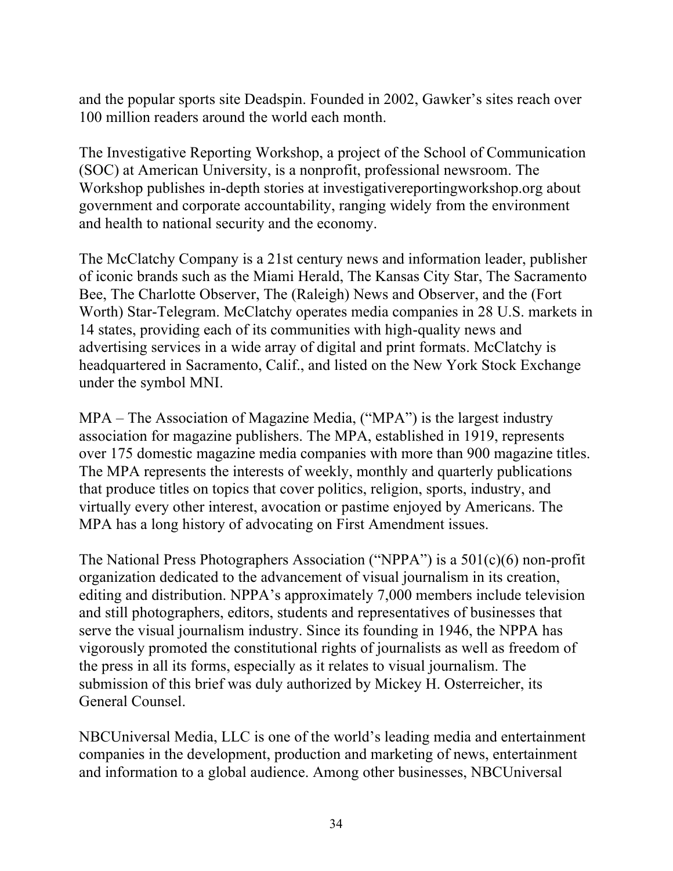and the popular sports site Deadspin. Founded in 2002, Gawker's sites reach over 100 million readers around the world each month.

The Investigative Reporting Workshop, a project of the School of Communication (SOC) at American University, is a nonprofit, professional newsroom. The Workshop publishes in-depth stories at investigativereportingworkshop.org about government and corporate accountability, ranging widely from the environment and health to national security and the economy.

The McClatchy Company is a 21st century news and information leader, publisher of iconic brands such as the Miami Herald, The Kansas City Star, The Sacramento Bee, The Charlotte Observer, The (Raleigh) News and Observer, and the (Fort Worth) Star-Telegram. McClatchy operates media companies in 28 U.S. markets in 14 states, providing each of its communities with high-quality news and advertising services in a wide array of digital and print formats. McClatchy is headquartered in Sacramento, Calif., and listed on the New York Stock Exchange under the symbol MNI.

MPA – The Association of Magazine Media, ("MPA") is the largest industry association for magazine publishers. The MPA, established in 1919, represents over 175 domestic magazine media companies with more than 900 magazine titles. The MPA represents the interests of weekly, monthly and quarterly publications that produce titles on topics that cover politics, religion, sports, industry, and virtually every other interest, avocation or pastime enjoyed by Americans. The MPA has a long history of advocating on First Amendment issues.

The National Press Photographers Association ("NPPA") is a 501(c)(6) non-profit organization dedicated to the advancement of visual journalism in its creation, editing and distribution. NPPA's approximately 7,000 members include television and still photographers, editors, students and representatives of businesses that serve the visual journalism industry. Since its founding in 1946, the NPPA has vigorously promoted the constitutional rights of journalists as well as freedom of the press in all its forms, especially as it relates to visual journalism. The submission of this brief was duly authorized by Mickey H. Osterreicher, its General Counsel.

NBCUniversal Media, LLC is one of the world's leading media and entertainment companies in the development, production and marketing of news, entertainment and information to a global audience. Among other businesses, NBCUniversal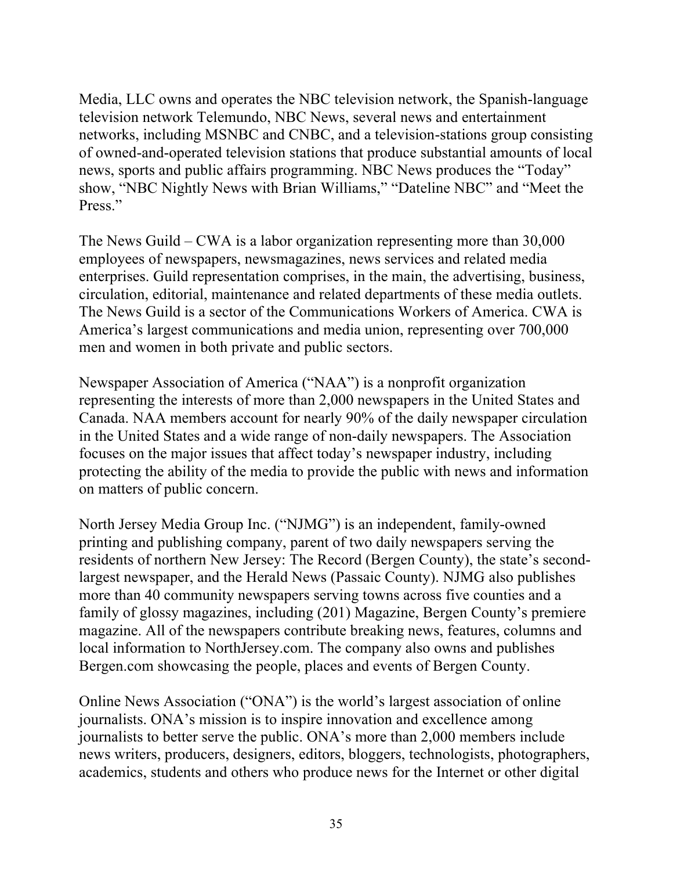Media, LLC owns and operates the NBC television network, the Spanish-language television network Telemundo, NBC News, several news and entertainment networks, including MSNBC and CNBC, and a television-stations group consisting of owned-and-operated television stations that produce substantial amounts of local news, sports and public affairs programming. NBC News produces the "Today" show, "NBC Nightly News with Brian Williams," "Dateline NBC" and "Meet the Press."

The News Guild – CWA is a labor organization representing more than 30,000 employees of newspapers, newsmagazines, news services and related media enterprises. Guild representation comprises, in the main, the advertising, business, circulation, editorial, maintenance and related departments of these media outlets. The News Guild is a sector of the Communications Workers of America. CWA is America's largest communications and media union, representing over 700,000 men and women in both private and public sectors.

Newspaper Association of America ("NAA") is a nonprofit organization representing the interests of more than 2,000 newspapers in the United States and Canada. NAA members account for nearly 90% of the daily newspaper circulation in the United States and a wide range of non-daily newspapers. The Association focuses on the major issues that affect today's newspaper industry, including protecting the ability of the media to provide the public with news and information on matters of public concern.

North Jersey Media Group Inc. ("NJMG") is an independent, family-owned printing and publishing company, parent of two daily newspapers serving the residents of northern New Jersey: The Record (Bergen County), the state's secondlargest newspaper, and the Herald News (Passaic County). NJMG also publishes more than 40 community newspapers serving towns across five counties and a family of glossy magazines, including (201) Magazine, Bergen County's premiere magazine. All of the newspapers contribute breaking news, features, columns and local information to NorthJersey.com. The company also owns and publishes Bergen.com showcasing the people, places and events of Bergen County.

Online News Association ("ONA") is the world's largest association of online journalists. ONA's mission is to inspire innovation and excellence among journalists to better serve the public. ONA's more than 2,000 members include news writers, producers, designers, editors, bloggers, technologists, photographers, academics, students and others who produce news for the Internet or other digital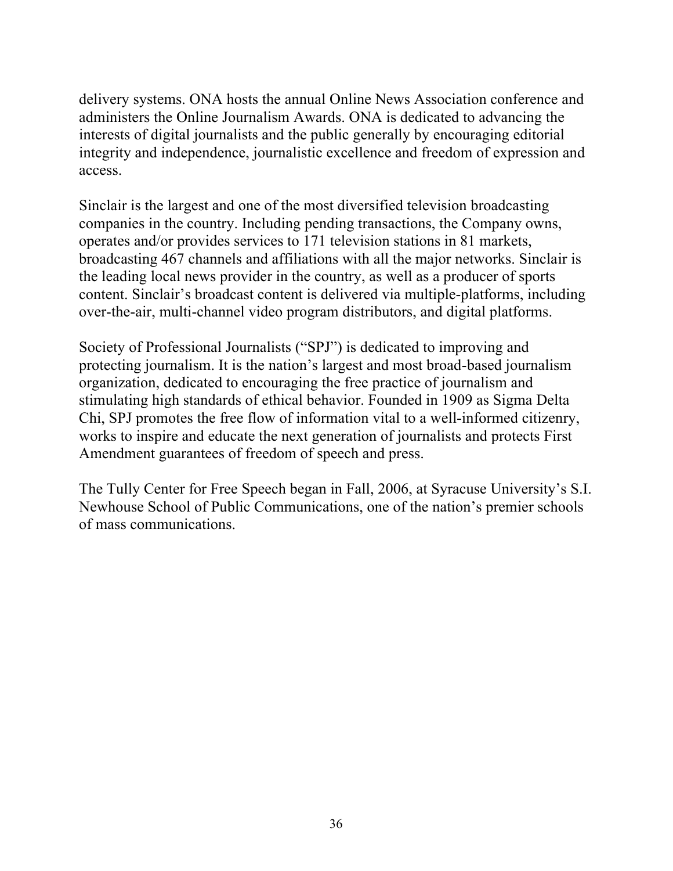delivery systems. ONA hosts the annual Online News Association conference and administers the Online Journalism Awards. ONA is dedicated to advancing the interests of digital journalists and the public generally by encouraging editorial integrity and independence, journalistic excellence and freedom of expression and access.

Sinclair is the largest and one of the most diversified television broadcasting companies in the country. Including pending transactions, the Company owns, operates and/or provides services to 171 television stations in 81 markets, broadcasting 467 channels and affiliations with all the major networks. Sinclair is the leading local news provider in the country, as well as a producer of sports content. Sinclair's broadcast content is delivered via multiple-platforms, including over-the-air, multi-channel video program distributors, and digital platforms.

Society of Professional Journalists ("SPJ") is dedicated to improving and protecting journalism. It is the nation's largest and most broad-based journalism organization, dedicated to encouraging the free practice of journalism and stimulating high standards of ethical behavior. Founded in 1909 as Sigma Delta Chi, SPJ promotes the free flow of information vital to a well-informed citizenry, works to inspire and educate the next generation of journalists and protects First Amendment guarantees of freedom of speech and press.

The Tully Center for Free Speech began in Fall, 2006, at Syracuse University's S.I. Newhouse School of Public Communications, one of the nation's premier schools of mass communications.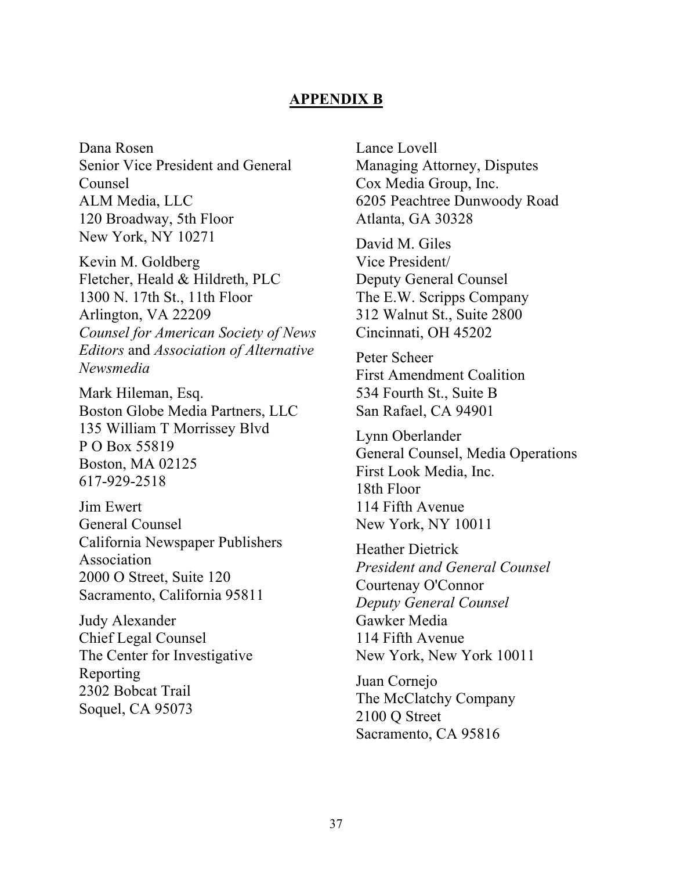#### **APPENDIX B**

Dana Rosen Senior Vice President and General Counsel ALM Media, LLC 120 Broadway, 5th Floor New York, NY 10271

Kevin M. Goldberg Fletcher, Heald & Hildreth, PLC 1300 N. 17th St., 11th Floor Arlington, VA 22209 *Counsel for American Society of News Editors* and *Association of Alternative Newsmedia* 

Mark Hileman, Esq. Boston Globe Media Partners, LLC 135 William T Morrissey Blvd P O Box 55819 Boston, MA 02125 617-929-2518

Jim Ewert General Counsel California Newspaper Publishers Association 2000 O Street, Suite 120 Sacramento, California 95811

Judy Alexander Chief Legal Counsel The Center for Investigative Reporting 2302 Bobcat Trail Soquel, CA 95073

Lance Lovell Managing Attorney, Disputes Cox Media Group, Inc. 6205 Peachtree Dunwoody Road Atlanta, GA 30328

David M. Giles Vice President/ Deputy General Counsel The E.W. Scripps Company 312 Walnut St., Suite 2800 Cincinnati, OH 45202

Peter Scheer First Amendment Coalition 534 Fourth St., Suite B San Rafael, CA 94901

Lynn Oberlander General Counsel, Media Operations First Look Media, Inc. 18th Floor 114 Fifth Avenue New York, NY 10011

Heather Dietrick *President and General Counsel* Courtenay O'Connor *Deputy General Counsel* Gawker Media 114 Fifth Avenue New York, New York 10011

Juan Cornejo The McClatchy Company 2100 Q Street Sacramento, CA 95816